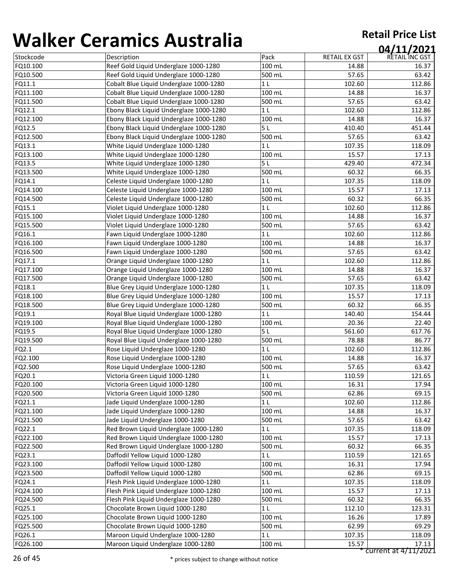| , , , , , , , , | <u>sei annes 7 iasceana</u>             |                |                      | 04/11/2021           |
|-----------------|-----------------------------------------|----------------|----------------------|----------------------|
| Stockcode       | Description                             | Pack           | <b>RETAIL EX GST</b> | RETAIL INC GST       |
| FQ10.100        | Reef Gold Liquid Underglaze 1000-1280   | 100 mL         | 14.88                | 16.37                |
| FQ10.500        | Reef Gold Liquid Underglaze 1000-1280   | 500 mL         | 57.65                | 63.42                |
| FQ11.1          | Cobalt Blue Liquid Underglaze 1000-1280 | 1 <sub>L</sub> | 102.60               | 112.86               |
| FQ11.100        | Cobalt Blue Liquid Underglaze 1000-1280 | 100 mL         | 14.88                | 16.37                |
| FQ11.500        | Cobalt Blue Liquid Underglaze 1000-1280 | 500 mL         | 57.65                | 63.42                |
| FQ12.1          | Ebony Black Liquid Underglaze 1000-1280 | 1 <sub>L</sub> | 102.60               | 112.86               |
| FQ12.100        | Ebony Black Liquid Underglaze 1000-1280 | 100 mL         | 14.88                | 16.37                |
| FQ12.5          | Ebony Black Liquid Underglaze 1000-1280 | 5L             | 410.40               | 451.44               |
| FQ12.500        | Ebony Black Liquid Underglaze 1000-1280 | 500 mL         | 57.65                | 63.42                |
| FQ13.1          | White Liquid Underglaze 1000-1280       | 1 <sub>L</sub> | 107.35               | 118.09               |
| FQ13.100        | White Liquid Underglaze 1000-1280       | 100 mL         | 15.57                | 17.13                |
| FQ13.5          | White Liquid Underglaze 1000-1280       | 5 <sub>L</sub> | 429.40               | 472.34               |
| FQ13.500        | White Liquid Underglaze 1000-1280       | 500 mL         | 60.32                | 66.35                |
| FQ14.1          | Celeste Liquid Underglaze 1000-1280     | 1 <sub>L</sub> | 107.35               | 118.09               |
| FQ14.100        | Celeste Liquid Underglaze 1000-1280     | 100 mL         | 15.57                | 17.13                |
| FQ14.500        | Celeste Liquid Underglaze 1000-1280     | 500 mL         | 60.32                | 66.35                |
| FQ15.1          | Violet Liquid Underglaze 1000-1280      | 1 <sub>L</sub> | 102.60               | 112.86               |
| FQ15.100        | Violet Liquid Underglaze 1000-1280      | 100 mL         | 14.88                | 16.37                |
| FQ15.500        | Violet Liquid Underglaze 1000-1280      | 500 mL         | 57.65                | 63.42                |
| FQ16.1          | Fawn Liquid Underglaze 1000-1280        | 1 <sub>L</sub> | 102.60               | 112.86               |
| FQ16.100        | Fawn Liquid Underglaze 1000-1280        | 100 mL         | 14.88                | 16.37                |
| FQ16.500        | Fawn Liquid Underglaze 1000-1280        | 500 mL         | 57.65                | 63.42                |
| FQ17.1          | Orange Liquid Underglaze 1000-1280      | 1 <sub>L</sub> | 102.60               | 112.86               |
| FQ17.100        | Orange Liquid Underglaze 1000-1280      | 100 mL         | 14.88                | 16.37                |
| FQ17.500        | Orange Liquid Underglaze 1000-1280      | 500 mL         | 57.65                | 63.42                |
| FQ18.1          | Blue Grey Liquid Underglaze 1000-1280   | 1 <sub>L</sub> | 107.35               | 118.09               |
| FQ18.100        | Blue Grey Liquid Underglaze 1000-1280   | 100 mL         | 15.57                | 17.13                |
| FQ18.500        | Blue Grey Liquid Underglaze 1000-1280   | 500 mL         | 60.32                | 66.35                |
| FQ19.1          | Royal Blue Liquid Underglaze 1000-1280  | 1 <sub>L</sub> | 140.40               | 154.44               |
| FQ19.100        | Royal Blue Liquid Underglaze 1000-1280  | 100 mL         | 20.36                | 22.40                |
| FQ19.5          | Royal Blue Liquid Underglaze 1000-1280  | 5L             | 561.60               | 617.76               |
| FQ19.500        | Royal Blue Liquid Underglaze 1000-1280  | 500 mL         | 78.88                | 86.77                |
| FQ2.1           | Rose Liquid Underglaze 1000-1280        | 1 <sub>L</sub> | 102.60               | 112.86               |
| FQ2.100         | Rose Liquid Underglaze 1000-1280        | 100 mL         | 14.88                | 16.37                |
| FQ2.500         | Rose Liquid Underglaze 1000-1280        | 500 mL         | 57.65                | 63.42                |
| FQ20.1          | Victoria Green Liquid 1000-1280         | 1 L            | 110.59               | 121.65               |
| FQ20.100        | Victoria Green Liquid 1000-1280         | 100 mL         | 16.31                | 17.94                |
| FQ20.500        | Victoria Green Liquid 1000-1280         | 500 mL         | 62.86                | 69.15                |
| FQ21.1          | Jade Liquid Underglaze 1000-1280        | 1 <sub>L</sub> | 102.60               | 112.86               |
| FQ21.100        | Jade Liquid Underglaze 1000-1280        | 100 mL         | 14.88                | 16.37                |
| FQ21.500        | Jade Liquid Underglaze 1000-1280        | 500 mL         | 57.65                | 63.42                |
| FQ22.1          | Red Brown Liquid Underglaze 1000-1280   | 1 L            | 107.35               | 118.09               |
| FQ22.100        | Red Brown Liquid Underglaze 1000-1280   | 100 mL         | 15.57                | 17.13                |
| FQ22.500        | Red Brown Liquid Underglaze 1000-1280   | 500 mL         | 60.32                | 66.35                |
| FQ23.1          | Daffodil Yellow Liquid 1000-1280        | 1 <sub>L</sub> | 110.59               | 121.65               |
| FQ23.100        | Daffodil Yellow Liquid 1000-1280        | 100 mL         | 16.31                | 17.94                |
| FQ23.500        | Daffodil Yellow Liquid 1000-1280        | 500 mL         | 62.86                | 69.15                |
| FQ24.1          | Flesh Pink Liquid Underglaze 1000-1280  | 1 <sub>L</sub> | 107.35               | 118.09               |
| FQ24.100        | Flesh Pink Liquid Underglaze 1000-1280  | 100 mL         | 15.57                | 17.13                |
| FQ24.500        | Flesh Pink Liquid Underglaze 1000-1280  | 500 mL         | 60.32                | 66.35                |
| FQ25.1          | Chocolate Brown Liquid 1000-1280        | 1 <sub>L</sub> | 112.10               | 123.31               |
| FQ25.100        | Chocolate Brown Liquid 1000-1280        | 100 mL         | 16.26                | 17.89                |
| FQ25.500        | Chocolate Brown Liquid 1000-1280        | 500 mL         | 62.99                | 69.29                |
| FQ26.1          | Maroon Liquid Underglaze 1000-1280      | 1 <sub>L</sub> | 107.35               | 118.09               |
| FQ26.100        | Maroon Liquid Underglaze 1000-1280      | 100 mL         | 15.57                | 17.13                |
|                 |                                         |                |                      | current at 4/11/2021 |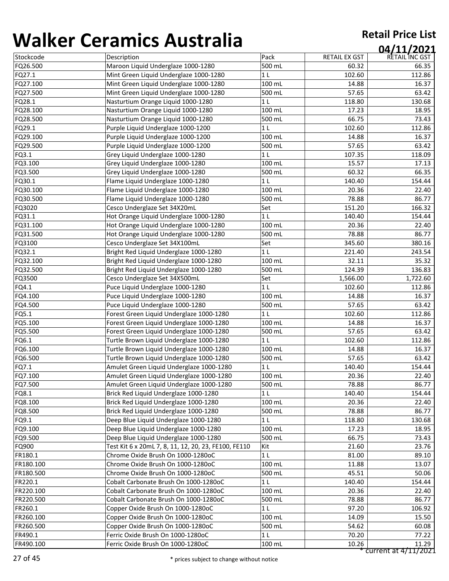| ,,,,,,,,,,, | 89999997149981399                                    |                  |               | 04/11/2021     |
|-------------|------------------------------------------------------|------------------|---------------|----------------|
| Stockcode   | Description                                          | Pack             | RETAIL EX GST | RETAIL INC GST |
| FQ26.500    | Maroon Liquid Underglaze 1000-1280                   | 500 mL           | 60.32         | 66.35          |
| FQ27.1      | Mint Green Liquid Underglaze 1000-1280               | 1 <sub>L</sub>   | 102.60        | 112.86         |
| FQ27.100    | Mint Green Liquid Underglaze 1000-1280               | 100 mL           | 14.88         | 16.37          |
| FQ27.500    | Mint Green Liquid Underglaze 1000-1280               | 500 mL           | 57.65         | 63.42          |
| FQ28.1      | Nasturtium Orange Liquid 1000-1280                   | 1 <sub>L</sub>   | 118.80        | 130.68         |
| FQ28.100    | Nasturtium Orange Liquid 1000-1280                   | 100 mL           | 17.23         | 18.95          |
| FQ28.500    | Nasturtium Orange Liquid 1000-1280                   | 500 mL           | 66.75         | 73.43          |
| FQ29.1      | Purple Liquid Underglaze 1000-1200                   | 1 <sub>L</sub>   | 102.60        | 112.86         |
| FQ29.100    | Purple Liquid Underglaze 1000-1200                   | 100 mL           | 14.88         | 16.37          |
| FQ29.500    | Purple Liquid Underglaze 1000-1200                   | 500 mL           | 57.65         | 63.42          |
| FQ3.1       | Grey Liquid Underglaze 1000-1280                     | 1 <sub>L</sub>   | 107.35        | 118.09         |
| FQ3.100     | Grey Liquid Underglaze 1000-1280                     | 100 mL           | 15.57         | 17.13          |
| FQ3.500     | Grey Liquid Underglaze 1000-1280                     | 500 mL           | 60.32         | 66.35          |
| FQ30.1      | Flame Liquid Underglaze 1000-1280                    | 1 <sub>L</sub>   | 140.40        | 154.44         |
| FQ30.100    | Flame Liquid Underglaze 1000-1280                    | 100 mL           | 20.36         | 22.40          |
| FQ30.500    | Flame Liquid Underglaze 1000-1280                    | 500 mL           | 78.88         | 86.77          |
| FQ3020      | Cesco Underglaze Set 34X20mL                         | Set              | 151.20        | 166.32         |
| FQ31.1      | Hot Orange Liquid Underglaze 1000-1280               | 1 <sub>L</sub>   | 140.40        | 154.44         |
| FQ31.100    | Hot Orange Liquid Underglaze 1000-1280               | 100 mL           | 20.36         | 22.40          |
| FQ31.500    | Hot Orange Liquid Underglaze 1000-1280               | 500 mL           | 78.88         | 86.77          |
| FQ3100      | Cesco Underglaze Set 34X100mL                        | Set              | 345.60        | 380.16         |
| FQ32.1      | Bright Red Liquid Underglaze 1000-1280               | 1 <sub>L</sub>   | 221.40        | 243.54         |
| FQ32.100    | Bright Red Liquid Underglaze 1000-1280               | 100 mL           | 32.11         | 35.32          |
| FQ32.500    | Bright Red Liquid Underglaze 1000-1280               | 500 mL           | 124.39        | 136.83         |
| FQ3500      | Cesco Underglaze Set 34X500mL                        | Set              | 1,566.00      | 1,722.60       |
| FQ4.1       | Puce Liquid Underglaze 1000-1280                     | 1 <sub>L</sub>   | 102.60        | 112.86         |
| FQ4.100     | Puce Liquid Underglaze 1000-1280                     | 100 mL           | 14.88         | 16.37          |
| FQ4.500     | Puce Liquid Underglaze 1000-1280                     | 500 mL           | 57.65         | 63.42          |
| FQ5.1       | Forest Green Liquid Underglaze 1000-1280             | 1 <sub>L</sub>   | 102.60        | 112.86         |
| FQ5.100     | Forest Green Liquid Underglaze 1000-1280             | 100 mL           | 14.88         | 16.37          |
| FQ5.500     | Forest Green Liquid Underglaze 1000-1280             | 500 mL           | 57.65         | 63.42          |
| FQ6.1       | Turtle Brown Liquid Underglaze 1000-1280             | 1 <sub>L</sub>   | 102.60        | 112.86         |
| FQ6.100     | Turtle Brown Liquid Underglaze 1000-1280             | 100 mL           | 14.88         | 16.37          |
| FQ6.500     | Turtle Brown Liquid Underglaze 1000-1280             | 500 mL           | 57.65         | 63.42          |
| FQ7.1       | Amulet Green Liquid Underglaze 1000-1280             | 1 <sub>L</sub>   | 140.40        | 154.44         |
| FQ7.100     | Amulet Green Liquid Underglaze 1000-1280             | $100 \text{ mL}$ | 20.36         | 22.40          |
| FQ7.500     | Amulet Green Liquid Underglaze 1000-1280             | 500 mL           | 78.88         | 86.77          |
| FQ8.1       | Brick Red Liquid Underglaze 1000-1280                | 1 <sub>L</sub>   | 140.40        | 154.44         |
| FQ8.100     | Brick Red Liquid Underglaze 1000-1280                | $100$ mL         | 20.36         | 22.40          |
| FQ8.500     | Brick Red Liquid Underglaze 1000-1280                | 500 mL           | 78.88         | 86.77          |
| FQ9.1       | Deep Blue Liquid Underglaze 1000-1280                | 1 <sub>L</sub>   | 118.80        | 130.68         |
| FQ9.100     | Deep Blue Liquid Underglaze 1000-1280                | 100 mL           | 17.23         | 18.95          |
| FQ9.500     | Deep Blue Liquid Underglaze 1000-1280                | 500 mL           | 66.75         | 73.43          |
| FQ900       | Test Kit 6 x 20mL 7, 8, 11, 12, 20, 23, FE100, FE110 | Kit              | 21.60         | 23.76          |
| FR180.1     | Chrome Oxide Brush On 1000-1280oC                    | 1 <sub>L</sub>   | 81.00         | 89.10          |
| FR180.100   | Chrome Oxide Brush On 1000-1280oC                    | $100$ mL         | 11.88         | 13.07          |
| FR180.500   | Chrome Oxide Brush On 1000-1280oC                    | 500 mL           | 45.51         | 50.06          |
| FR220.1     | Cobalt Carbonate Brush On 1000-1280oC                | 1 <sub>L</sub>   | 140.40        | 154.44         |
| FR220.100   | Cobalt Carbonate Brush On 1000-1280oC                | 100 mL           | 20.36         | 22.40          |
| FR220.500   | Cobalt Carbonate Brush On 1000-1280oC                | 500 mL           | 78.88         | 86.77          |
| FR260.1     | Copper Oxide Brush On 1000-1280oC                    | 1 <sub>L</sub>   | 97.20         | 106.92         |
| FR260.100   | Copper Oxide Brush On 1000-1280oC                    | 100 mL           | 14.09         | 15.50          |
| FR260.500   | Copper Oxide Brush On 1000-1280oC                    | 500 mL           | 54.62         | 60.08          |
| FR490.1     | Ferric Oxide Brush On 1000-1280oC                    | 1 <sub>L</sub>   | 70.20         | 77.22          |
| FR490.100   | Ferric Oxide Brush On 1000-1280oC                    | 100 mL           | 10.26         | 11.29          |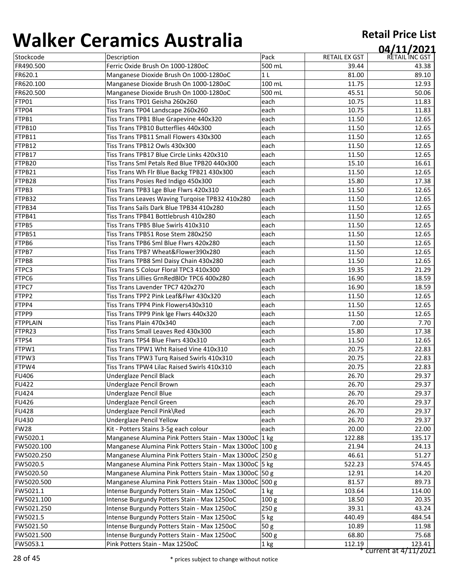| ,,,,,,,,,,       |                                                         |                  |               | 04/11/2021     |
|------------------|---------------------------------------------------------|------------------|---------------|----------------|
| Stockcode        | Description                                             | Pack             | RETAIL EX GST | RETAIL INC GST |
| FR490.500        | Ferric Oxide Brush On 1000-1280oC                       | 500 mL           | 39.44         | 43.38          |
| FR620.1          | Manganese Dioxide Brush On 1000-1280oC                  | 1 <sub>L</sub>   | 81.00         | 89.10          |
| FR620.100        | Manganese Dioxide Brush On 1000-1280oC                  | 100 mL           | 11.75         | 12.93          |
| FR620.500        | Manganese Dioxide Brush On 1000-1280oC                  | 500 mL           | 45.51         | 50.06          |
| FTP01            | Tiss Trans TP01 Geisha 260x260                          | each             | 10.75         | 11.83          |
| FTP04            | Tiss Trans TP04 Landscape 260x260                       | each             | 10.75         | 11.83          |
| FTPB1            | Tiss Trans TPB1 Blue Grapevine 440x320                  | each             | 11.50         | 12.65          |
| FTPB10           | Tiss Trans TPB10 Butterflies 440x300                    | each             | 11.50         | 12.65          |
| FTPB11           | Tiss Trans TPB11 Small Flowers 430x300                  | each             | 11.50         | 12.65          |
| FTPB12           | Tiss Trans TPB12 Owls 430x300                           | each             | 11.50         | 12.65          |
| FTPB17           | Tiss Trans TPB17 Blue Circle Links 420x310              | each             | 11.50         | 12.65          |
| FTPB20           | Tiss Trans Sml Petals Red Blue TPB20 440x300            | each             | 15.10         | 16.61          |
| FTPB21           | Tiss Trans Wh Flr Blue Backg TPB21 430x300              | each             | 11.50         | 12.65          |
| FTPB28           | Tiss Trans Posies Red Indigo 450x300                    | each             | 15.80         | 17.38          |
| FTPB3            | Tiss Trans TPB3 Lge Blue Flwrs 420x310                  | each             | 11.50         | 12.65          |
| FTPB32           | Tiss Trans Leaves Waving Turqoise TPB32 410x280         | each             | 11.50         | 12.65          |
| FTPB34           | Tiss Trans Sails Dark Blue TPB34 410x280                | each             | 11.50         | 12.65          |
| FTPB41           | Tiss Trans TPB41 Bottlebrush 410x280                    | each             | 11.50         | 12.65          |
| FTPB5            | Tiss Trans TPB5 Blue Swirls 410x310                     | each             | 11.50         | 12.65          |
| FTPB51           | Tiss Trans TPB51 Rose Stem 280x250                      | each             | 11.50         | 12.65          |
| FTPB6            | Tiss Trans TPB6 Sml Blue Flwrs 420x280                  | each             | 11.50         | 12.65          |
| FTPB7            | Tiss Trans TPB7 Wheat&Flower390x280                     | each             | 11.50         | 12.65          |
| FTPB8            | Tiss Trans TPB8 Sml Daisy Chain 430x280                 | each             | 11.50         | 12.65          |
| FTPC3            | Tiss Trans 5 Colour Floral TPC3 410x300                 | each             | 19.35         | 21.29          |
| FTPC6            | Tiss Trans Lillies GrnRedBlOr TPC6 400x280              | each             | 16.90         | 18.59          |
| FTPC7            | Tiss Trans Lavender TPC7 420x270                        | each             | 16.90         | 18.59          |
| FTPP2            | Tiss Trans TPP2 Pink Leaf&Flwr 430x320                  | each             | 11.50         | 12.65          |
| FTPP4            | Tiss Trans TPP4 Pink Flowers430x310                     | each             | 11.50         | 12.65          |
| FTPP9            | Tiss Trans TPP9 Pink Ige Flwrs 440x320                  | each             | 11.50         | 12.65          |
| <b>FTPPLAIN</b>  | Tiss Trans Plain 470x340                                | each             | 7.00          | 7.70           |
| FTPR23           | Tiss Trans Small Leaves Red 430x300                     | each             | 15.80         | 17.38          |
| FTPS4            | Tiss Trans TPS4 Blue Flwrs 430x310                      | each             | 11.50         | 12.65          |
| FTPW1            | Tiss Trans TPW1 Wht Raised Vine 410x310                 | each             | 20.75         | 22.83          |
| FTPW3            | Tiss Trans TPW3 Turq Raised Swirls 410x310              | each             | 20.75         | 22.83          |
| FTPW4            | Tiss Trans TPW4 Lilac Raised Swirls 410x310             | each             | 20.75         | 22.83          |
| <b>FU406</b>     | <b>Underglaze Pencil Black</b>                          | each             | 26.70         | 29.37          |
| <b>FU422</b>     | <b>Underglaze Pencil Brown</b>                          | each             | 26.70         | 29.37          |
| <b>FU424</b>     | <b>Underglaze Pencil Blue</b>                           | each             | 26.70         | 29.37          |
| <b>FU426</b>     | Underglaze Pencil Green                                 | each             | 26.70         | 29.37          |
| <b>FU428</b>     | Underglaze Pencil Pink\Red                              | each             | 26.70         | 29.37          |
| <b>FU430</b>     | <b>Underglaze Pencil Yellow</b>                         | each             | 26.70         | 29.37          |
| FW <sub>28</sub> | Kit - Potters Stains 3-5g each colour                   | each             | 20.00         | 22.00          |
| FW5020.1         | Manganese Alumina Pink Potters Stain - Max 1300oC 1 kg  |                  | 122.88        | 135.17         |
| FW5020.100       | Manganese Alumina Pink Potters Stain - Max 1300oC 100 g |                  | 21.94         | 24.13          |
| FW5020.250       | Manganese Alumina Pink Potters Stain - Max 1300oC 250 g |                  | 46.61         | 51.27          |
| FW5020.5         | Manganese Alumina Pink Potters Stain - Max 1300oC 5 kg  |                  | 522.23        | 574.45         |
| FW5020.50        | Manganese Alumina Pink Potters Stain - Max 1300oC 50 g  |                  | 12.91         | 14.20          |
| FW5020.500       | Manganese Alumina Pink Potters Stain - Max 1300oC 500 g |                  | 81.57         | 89.73          |
| FW5021.1         | Intense Burgundy Potters Stain - Max 1250oC             | 1 kg             | 103.64        | 114.00         |
| FW5021.100       | Intense Burgundy Potters Stain - Max 1250oC             | 100 <sub>g</sub> | 18.50         | 20.35          |
| FW5021.250       | Intense Burgundy Potters Stain - Max 1250oC             | 250 <sub>g</sub> | 39.31         | 43.24          |
| FW5021.5         | Intense Burgundy Potters Stain - Max 1250oC             | 5 kg             | 440.49        | 484.54         |
| FW5021.50        | Intense Burgundy Potters Stain - Max 1250oC             | 50g              | 10.89         | 11.98          |
| FW5021.500       | Intense Burgundy Potters Stain - Max 1250oC             | 500 <sub>g</sub> | 68.80         | 75.68          |
| FW5053.1         | Pink Potters Stain - Max 1250oC                         | 1 kg             | 112.19        | 123.41         |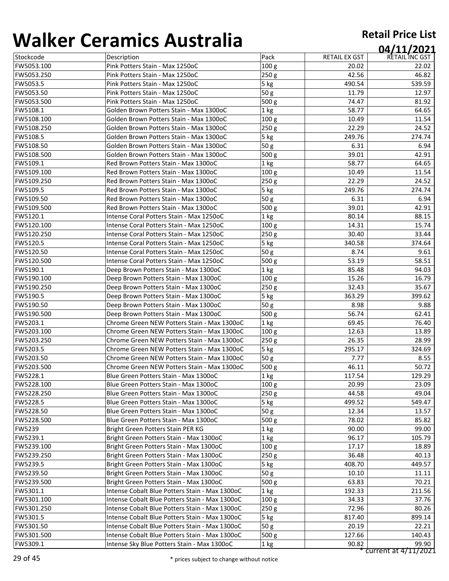| ,,,,,,,,,,    |                                                |                  |               | 04/11/2021     |
|---------------|------------------------------------------------|------------------|---------------|----------------|
| Stockcode     | Description                                    | Pack             | RETAIL EX GST | RETAIL INC GST |
| FW5053.100    | Pink Potters Stain - Max 1250oC                | 100 <sub>g</sub> | 20.02         | 22.02          |
| FW5053.250    | Pink Potters Stain - Max 1250oC                | 250g             | 42.56         | 46.82          |
| FW5053.5      | Pink Potters Stain - Max 1250oC                | 5 kg             | 490.54        | 539.59         |
| FW5053.50     | Pink Potters Stain - Max 1250oC                | 50g              | 11.79         | 12.97          |
| FW5053.500    | Pink Potters Stain - Max 1250oC                | 500 g            | 74.47         | 81.92          |
| FW5108.1      | Golden Brown Potters Stain - Max 1300oC        | 1 kg             | 58.77         | 64.65          |
| FW5108.100    | Golden Brown Potters Stain - Max 1300oC        | 100 <sub>g</sub> | 10.49         | 11.54          |
| FW5108.250    | Golden Brown Potters Stain - Max 1300oC        | 250 g            | 22.29         | 24.52          |
| FW5108.5      | Golden Brown Potters Stain - Max 1300oC        | 5 kg             | 249.76        | 274.74         |
| FW5108.50     | Golden Brown Potters Stain - Max 1300oC        | 50g              | 6.31          | 6.94           |
| FW5108.500    | Golden Brown Potters Stain - Max 1300oC        | 500 g            | 39.01         | 42.91          |
| FW5109.1      | Red Brown Potters Stain - Max 1300oC           | 1 kg             | 58.77         | 64.65          |
| FW5109.100    | Red Brown Potters Stain - Max 1300oC           | 100 <sub>g</sub> | 10.49         | 11.54          |
| FW5109.250    | Red Brown Potters Stain - Max 1300oC           | 250 g            | 22.29         | 24.52          |
| FW5109.5      | Red Brown Potters Stain - Max 1300oC           | $5$ kg           | 249.76        | 274.74         |
| FW5109.50     | Red Brown Potters Stain - Max 1300oC           | 50 g             | 6.31          | 6.94           |
| FW5109.500    | Red Brown Potters Stain - Max 1300oC           | 500 <sub>g</sub> | 39.01         | 42.91          |
| FW5120.1      | Intense Coral Potters Stain - Max 1250oC       | 1 kg             | 80.14         | 88.15          |
| FW5120.100    | Intense Coral Potters Stain - Max 1250oC       | 100 g            | 14.31         | 15.74          |
| FW5120.250    | Intense Coral Potters Stain - Max 1250oC       | 250 g            | 30.40         | 33.44          |
| FW5120.5      | Intense Coral Potters Stain - Max 1250oC       | 5 kg             | 340.58        | 374.64         |
| FW5120.50     | Intense Coral Potters Stain - Max 1250oC       | 50g              | 8.74          | 9.61           |
| FW5120.500    | Intense Coral Potters Stain - Max 1250oC       | 500 g            | 53.19         | 58.51          |
| FW5190.1      | Deep Brown Potters Stain - Max 1300oC          | 1 kg             | 85.48         | 94.03          |
| FW5190.100    | Deep Brown Potters Stain - Max 1300oC          | 100 <sub>g</sub> | 15.26         | 16.79          |
| FW5190.250    | Deep Brown Potters Stain - Max 1300oC          | 250g             | 32.43         | 35.67          |
| FW5190.5      | Deep Brown Potters Stain - Max 1300oC          | 5 kg             | 363.29        | 399.62         |
| FW5190.50     | Deep Brown Potters Stain - Max 1300oC          | 50 <sub>g</sub>  | 8.98          | 9.88           |
| FW5190.500    | Deep Brown Potters Stain - Max 1300oC          | 500 g            | 56.74         | 62.41          |
| FW5203.1      | Chrome Green NEW Potters Stain - Max 1300oC    | 1 <sub>kg</sub>  | 69.45         | 76.40          |
| FW5203.100    | Chrome Green NEW Potters Stain - Max 1300oC    | 100 <sub>g</sub> | 12.63         | 13.89          |
| FW5203.250    | Chrome Green NEW Potters Stain - Max 1300oC    | 250g             | 26.35         | 28.99          |
| FW5203.5      | Chrome Green NEW Potters Stain - Max 1300oC    | 5 kg             | 295.17        | 324.69         |
| FW5203.50     | Chrome Green NEW Potters Stain - Max 1300oC    | 50 <sub>g</sub>  | 7.77          | 8.55           |
| FW5203.500    | Chrome Green NEW Potters Stain - Max 1300oC    | 500 g            | 46.11         | 50.72          |
| FW5228.1      | Blue Green Potters Stain - Max 1300oC          | $ 1$ kg          | 117.54        | 129.29         |
| FW5228.100    | Blue Green Potters Stain - Max 1300oC          | 100 <sub>g</sub> | 20.99         | 23.09          |
| FW5228.250    | Blue Green Potters Stain - Max 1300oC          | 250 g            | 44.58         | 49.04          |
| FW5228.5      | Blue Green Potters Stain - Max 1300oC          | 5 kg             | 499.52        | 549.47         |
| FW5228.50     | Blue Green Potters Stain - Max 1300oC          | 50 <sub>g</sub>  | 12.34         | 13.57          |
| FW5228.500    | Blue Green Potters Stain - Max 1300oC          | 500 <sub>g</sub> | 78.02         | 85.82          |
| <b>FW5239</b> | Bright Green Potters Stain PER KG              | $1$ kg           | 90.00         | 99.00          |
| FW5239.1      | Bright Green Potters Stain - Max 1300oC        | 1 kg             | 96.17         | 105.79         |
| FW5239.100    | Bright Green Potters Stain - Max 1300oC        | 100 <sub>g</sub> | 17.17         | 18.89          |
| FW5239.250    | Bright Green Potters Stain - Max 1300oC        | 250 <sub>g</sub> | 36.48         | 40.13          |
| FW5239.5      | Bright Green Potters Stain - Max 1300oC        | $5$ kg           | 408.70        | 449.57         |
| FW5239.50     | Bright Green Potters Stain - Max 1300oC        | 50 <sub>g</sub>  | 10.10         | 11.11          |
| FW5239.500    | Bright Green Potters Stain - Max 1300oC        | 500 g            | 63.83         | 70.21          |
| FW5301.1      | Intense Cobalt Blue Potters Stain - Max 1300oC | 1 kg             | 192.33        | 211.56         |
| FW5301.100    | Intense Cobalt Blue Potters Stain - Max 1300oC | 100 <sub>g</sub> | 34.33         | 37.76          |
| FW5301.250    | Intense Cobalt Blue Potters Stain - Max 1300oC | 250 <sub>g</sub> | 72.96         | 80.26          |
| FW5301.5      | Intense Cobalt Blue Potters Stain - Max 1300oC | 5 kg             | 817.40        | 899.14         |
| FW5301.50     | Intense Cobalt Blue Potters Stain - Max 1300oC | 50 g             | 20.19         | 22.21          |
| FW5301.500    | Intense Cobalt Blue Potters Stain - Max 1300oC | 500 g            | 127.66        | 140.43         |
| FW5309.1      | Intense Sky Blue Potters Stain - Max 1300oC    | $ 1$ kg          | 90.82         | 99.90          |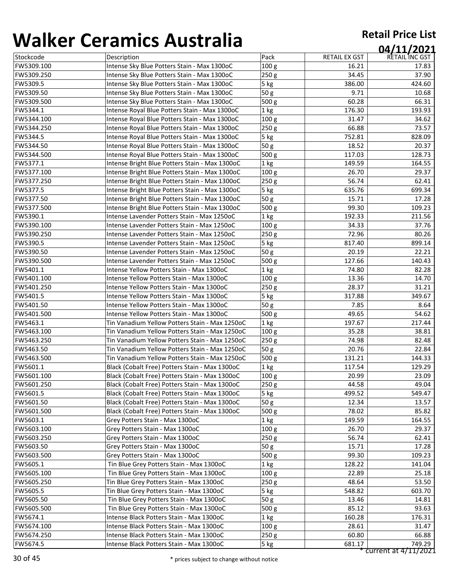| ,,,,,,,,,, | <u>sei annes 7 iasceana</u>                    |                  |               | 04/11/2021     |
|------------|------------------------------------------------|------------------|---------------|----------------|
| Stockcode  | Description                                    | Pack             | RETAIL EX GST | RETAIL INC GST |
| FW5309.100 | Intense Sky Blue Potters Stain - Max 1300oC    | 100 <sub>g</sub> | 16.21         | 17.83          |
| FW5309.250 | Intense Sky Blue Potters Stain - Max 1300oC    | 250 <sub>g</sub> | 34.45         | 37.90          |
| FW5309.5   | Intense Sky Blue Potters Stain - Max 1300oC    | 5 kg             | 386.00        | 424.60         |
| FW5309.50  | Intense Sky Blue Potters Stain - Max 1300oC    | 50g              | 9.71          | 10.68          |
| FW5309.500 | Intense Sky Blue Potters Stain - Max 1300oC    | 500 g            | 60.28         | 66.31          |
| FW5344.1   | Intense Royal Blue Potters Stain - Max 1300oC  | 1 kg             | 176.30        | 193.93         |
| FW5344.100 | Intense Royal Blue Potters Stain - Max 1300oC  | 100 g            | 31.47         | 34.62          |
| FW5344.250 | Intense Royal Blue Potters Stain - Max 1300oC  | 250 g            | 66.88         | 73.57          |
| FW5344.5   | Intense Royal Blue Potters Stain - Max 1300oC  | 5 kg             | 752.81        | 828.09         |
| FW5344.50  | Intense Royal Blue Potters Stain - Max 1300oC  | 50g              | 18.52         | 20.37          |
| FW5344.500 | Intense Royal Blue Potters Stain - Max 1300oC  | 500 g            | 117.03        | 128.73         |
| FW5377.1   | Intense Bright Blue Potters Stain - Max 1300oC | 1 kg             | 149.59        | 164.55         |
| FW5377.100 | Intense Bright Blue Potters Stain - Max 1300oC | 100 g            | 26.70         | 29.37          |
| FW5377.250 | Intense Bright Blue Potters Stain - Max 1300oC | 250g             | 56.74         | 62.41          |
| FW5377.5   | Intense Bright Blue Potters Stain - Max 1300oC | $5$ kg           | 635.76        | 699.34         |
| FW5377.50  | Intense Bright Blue Potters Stain - Max 1300oC | 50 <sub>g</sub>  | 15.71         | 17.28          |
| FW5377.500 | Intense Bright Blue Potters Stain - Max 1300oC | 500 g            | 99.30         | 109.23         |
| FW5390.1   | Intense Lavender Potters Stain - Max 1250oC    | 1 kg             | 192.33        | 211.56         |
| FW5390.100 | Intense Lavender Potters Stain - Max 1250oC    | 100 <sub>g</sub> | 34.33         | 37.76          |
| FW5390.250 | Intense Lavender Potters Stain - Max 1250oC    | 250g             | 72.96         | 80.26          |
| FW5390.5   | Intense Lavender Potters Stain - Max 1250oC    | 5 <sub>kg</sub>  | 817.40        | 899.14         |
| FW5390.50  | Intense Lavender Potters Stain - Max 1250oC    | 50g              | 20.19         | 22.21          |
| FW5390.500 | Intense Lavender Potters Stain - Max 1250oC    | 500 g            | 127.66        | 140.43         |
| FW5401.1   | Intense Yellow Potters Stain - Max 1300oC      | 1 kg             | 74.80         | 82.28          |
| FW5401.100 | Intense Yellow Potters Stain - Max 1300oC      | 100 <sub>g</sub> | 13.36         | 14.70          |
| FW5401.250 | Intense Yellow Potters Stain - Max 1300oC      | 250g             | 28.37         | 31.21          |
| FW5401.5   | Intense Yellow Potters Stain - Max 1300oC      | 5 kg             | 317.88        | 349.67         |
| FW5401.50  | Intense Yellow Potters Stain - Max 1300oC      | 50g              | 7.85          | 8.64           |
| FW5401.500 | Intense Yellow Potters Stain - Max 1300oC      | 500 g            | 49.65         | 54.62          |
| FW5463.1   | Tin Vanadium Yellow Potters Stain - Max 1250oC | 1 kg             | 197.67        | 217.44         |
| FW5463.100 | Tin Vanadium Yellow Potters Stain - Max 1250oC | 100 <sub>g</sub> | 35.28         | 38.81          |
| FW5463.250 | Tin Vanadium Yellow Potters Stain - Max 1250oC | 250g             | 74.98         | 82.48          |
| FW5463.50  | Tin Vanadium Yellow Potters Stain - Max 1250oC | 50g              | 20.76         | 22.84          |
| FW5463.500 | Tin Vanadium Yellow Potters Stain - Max 1250oC | 500 g            | 131.21        | 144.33         |
| FW5601.1   | Black (Cobalt Free) Potters Stain - Max 1300oC | 1 kg             | 117.54        | 129.29         |
| FW5601.100 | Black (Cobalt Free) Potters Stain - Max 1300oC | 100 g            | 20.99         | 23.09          |
| FW5601.250 | Black (Cobalt Free) Potters Stain - Max 1300oC | 250 <sub>g</sub> | 44.58         | 49.04          |
| FW5601.5   | Black (Cobalt Free) Potters Stain - Max 1300oC | 5 kg             | 499.52        | 549.47         |
| FW5601.50  | Black (Cobalt Free) Potters Stain - Max 1300oC | 50 <sub>g</sub>  | 12.34         | 13.57          |
| FW5601.500 | Black (Cobalt Free) Potters Stain - Max 1300oC | 500 <sub>g</sub> | 78.02         | 85.82          |
| FW5603.1   | Grey Potters Stain - Max 1300oC                | 1 kg             | 149.59        | 164.55         |
| FW5603.100 | Grey Potters Stain - Max 1300oC                | 100 <sub>g</sub> | 26.70         | 29.37          |
| FW5603.250 | Grey Potters Stain - Max 1300oC                | 250 <sub>g</sub> | 56.74         | 62.41          |
| FW5603.50  | Grey Potters Stain - Max 1300oC                | 50 <sub>g</sub>  | 15.71         | 17.28          |
| FW5603.500 | Grey Potters Stain - Max 1300oC                | 500 <sub>g</sub> | 99.30         | 109.23         |
| FW5605.1   | Tin Blue Grey Potters Stain - Max 1300oC       | 1 kg             | 128.22        | 141.04         |
| FW5605.100 | Tin Blue Grey Potters Stain - Max 1300oC       | 100 <sub>g</sub> | 22.89         | 25.18          |
| FW5605.250 | Tin Blue Grey Potters Stain - Max 1300oC       | 250 <sub>g</sub> | 48.64         | 53.50          |
| FW5605.5   | Tin Blue Grey Potters Stain - Max 1300oC       | 5 kg             | 548.82        | 603.70         |
| FW5605.50  | Tin Blue Grey Potters Stain - Max 1300oC       | 50 g             | 13.46         | 14.81          |
| FW5605.500 | Tin Blue Grey Potters Stain - Max 1300oC       | 500 g            | 85.12         | 93.63          |
| FW5674.1   | Intense Black Potters Stain - Max 1300oC       | 1 kg             | 160.28        | 176.31         |
| FW5674.100 | Intense Black Potters Stain - Max 1300oC       | 100 <sub>g</sub> | 28.61         | 31.47          |
| FW5674.250 | Intense Black Potters Stain - Max 1300oC       | 250 <sub>g</sub> | 60.80         | 66.88          |
| FW5674.5   | Intense Black Potters Stain - Max 1300oC       | 5 kg             | 681.17        | 749.29         |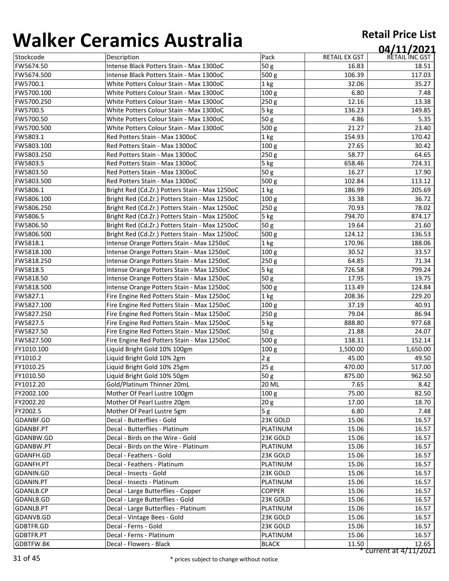| ,,,,,,,,,,,      |                                                |                  |               | 04/11/2021           |
|------------------|------------------------------------------------|------------------|---------------|----------------------|
| Stockcode        | Description                                    | Pack             | RETAIL EX GST | RETAIL INC GST       |
| FW5674.50        | Intense Black Potters Stain - Max 1300oC       | 50 g             | 16.83         | 18.51                |
| FW5674.500       | Intense Black Potters Stain - Max 1300oC       | 500 g            | 106.39        | 117.03               |
| FW5700.1         | White Potters Colour Stain - Max 1300oC        | 1 kg             | 32.06         | 35.27                |
| FW5700.100       | White Potters Colour Stain - Max 1300oC        | 100 <sub>g</sub> | 6.80          | 7.48                 |
| FW5700.250       | White Potters Colour Stain - Max 1300oC        | 250 <sub>g</sub> | 12.16         | 13.38                |
| FW5700.5         | White Potters Colour Stain - Max 1300oC        | 5 kg             | 136.23        | 149.85               |
| FW5700.50        | White Potters Colour Stain - Max 1300oC        | 50 g             | 4.86          | 5.35                 |
| FW5700.500       | White Potters Colour Stain - Max 1300oC        | 500 g            | 21.27         | 23.40                |
| FW5803.1         | Red Potters Stain - Max 1300oC                 | 1 kg             | 154.93        | 170.42               |
| FW5803.100       | Red Potters Stain - Max 1300oC                 | 100 <sub>g</sub> | 27.65         | 30.42                |
| FW5803.250       | Red Potters Stain - Max 1300oC                 | 250 g            | 58.77         | 64.65                |
| FW5803.5         | Red Potters Stain - Max 1300oC                 | 5 kg             | 658.46        | 724.31               |
| FW5803.50        | Red Potters Stain - Max 1300oC                 | 50g              | 16.27         | 17.90                |
| FW5803.500       | Red Potters Stain - Max 1300oC                 | 500 <sub>g</sub> | 102.84        | 113.12               |
| FW5806.1         | Bright Red (Cd.Zr.) Potters Stain - Max 1250oC | 1 <sub>kg</sub>  | 186.99        | 205.69               |
| FW5806.100       | Bright Red (Cd.Zr.) Potters Stain - Max 1250oC | 100 <sub>g</sub> | 33.38         | 36.72                |
| FW5806.250       | Bright Red (Cd.Zr.) Potters Stain - Max 1250oC | 250g             | 70.93         | 78.02                |
| FW5806.5         | Bright Red (Cd.Zr.) Potters Stain - Max 1250oC | 5 kg             | 794.70        | 874.17               |
| FW5806.50        | Bright Red (Cd.Zr.) Potters Stain - Max 1250oC | 50g              | 19.64         | 21.60                |
| FW5806.500       | Bright Red (Cd.Zr.) Potters Stain - Max 1250oC | 500 g            | 124.12        | 136.53               |
| FW5818.1         | Intense Orange Potters Stain - Max 1250oC      | 1 <sub>kg</sub>  | 170.96        | 188.06               |
| FW5818.100       | Intense Orange Potters Stain - Max 1250oC      | 100 <sub>g</sub> | 30.52         | 33.57                |
| FW5818.250       | Intense Orange Potters Stain - Max 1250oC      | 250 g            | 64.85         | 71.34                |
| FW5818.5         | Intense Orange Potters Stain - Max 1250oC      | 5 kg             | 726.58        | 799.24               |
| FW5818.50        | Intense Orange Potters Stain - Max 1250oC      | 50g              | 17.95         | 19.75                |
| FW5818.500       | Intense Orange Potters Stain - Max 1250oC      | 500 g            | 113.49        | 124.84               |
| FW5827.1         | Fire Engine Red Potters Stain - Max 1250oC     | 1 kg             | 208.36        | 229.20               |
| FW5827.100       | Fire Engine Red Potters Stain - Max 1250oC     | 100 <sub>g</sub> | 37.19         | 40.91                |
| FW5827.250       | Fire Engine Red Potters Stain - Max 1250oC     | 250g             | 79.04         | 86.94                |
| FW5827.5         | Fire Engine Red Potters Stain - Max 1250oC     | 5 kg             | 888.80        | 977.68               |
| FW5827.50        | Fire Engine Red Potters Stain - Max 1250oC     | 50g              | 21.88         | 24.07                |
| FW5827.500       | Fire Engine Red Potters Stain - Max 1250oC     | 500 g            | 138.31        | 152.14               |
| FY1010.100       | Liquid Bright Gold 10% 100gm                   | 100 <sub>g</sub> | 1,500.00      | 1,650.00             |
| FY1010.2         | Liquid Bright Gold 10% 2gm                     | 2g               | 45.00         | 49.50                |
| FY1010.25        | Liquid Bright Gold 10% 25gm                    | 25g              | 470.00        | 517.00               |
| FY1010.50        | Liquid Bright Gold 10% 50gm                    | 50 g             | 875.00        | 962.50               |
| FY1012.20        | Gold/Platinum Thinner 20mL                     | <b>20 ML</b>     | 7.65          | 8.42                 |
| FY2002.100       | Mother Of Pearl Lustre 100gm                   | 100 <sub>g</sub> | 75.00         | 82.50                |
| FY2002.20        | Mother Of Pearl Lustre 20gm                    | 20 <sub>g</sub>  | 17.00         | 18.70                |
| FY2002.5         | Mother Of Pearl Lustre 5gm                     | 5g               | 6.80          | 7.48                 |
| GDANBF.GD        | Decal - Butterflies - Gold                     | 23K GOLD         | 15.06         | 16.57                |
| GDANBF.PT        | Decal - Butterflies - Platinum                 | <b>PLATINUM</b>  | 15.06         | 16.57                |
| GDANBW.GD        | Decal - Birds on the Wire - Gold               | 23K GOLD         | 15.06         | 16.57                |
| GDANBW.PT        | Decal - Birds on the Wire - Platinum           | <b>PLATINUM</b>  | 15.06         | 16.57                |
| GDANFH.GD        | Decal - Feathers - Gold                        | 23K GOLD         | 15.06         | 16.57                |
| GDANFH.PT        | Decal - Feathers - Platinum                    | <b>PLATINUM</b>  | 15.06         | 16.57                |
| GDANIN.GD        | Decal - Insects - Gold                         | 23K GOLD         | 15.06         | 16.57                |
| GDANIN.PT        | Decal - Insects - Platinum                     | PLATINUM         | 15.06         | 16.57                |
| GDANLB.CP        | Decal - Large Butterflies - Copper             | <b>COPPER</b>    | 15.06         | 16.57                |
| GDANLB.GD        | Decal - Large Butterflies - Gold               | 23K GOLD         | 15.06         | 16.57                |
| <b>GDANLB.PT</b> | Decal - Large Butterflies - Platinum           | PLATINUM         | 15.06         | 16.57                |
| GDANVB.GD        | Decal - Vintage Bees - Gold                    | 23K GOLD         | 15.06         | 16.57                |
| GDBTFR.GD        | Decal - Ferns - Gold                           | 23K GOLD         | 15.06         | 16.57                |
| GDBTFR.PT        | Decal - Ferns - Platinum                       | PLATINUM         | 15.06         | 16.57                |
| GDBTFW.BK        | Decal - Flowers - Black                        | <b>BLACK</b>     | 11.50         | 12.65                |
|                  |                                                |                  |               | current at 4/11/2021 |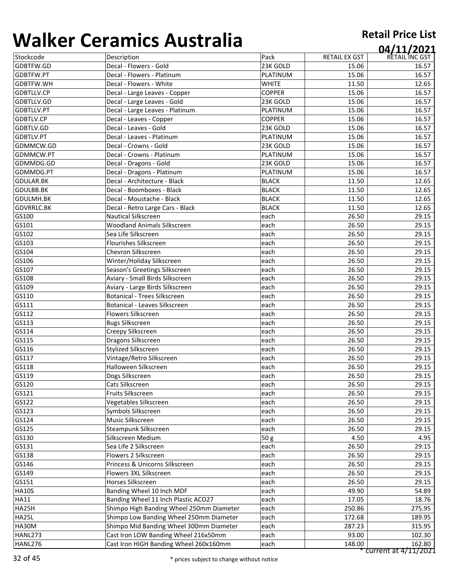|                   | 82. THE LIBRARY OF THE LIBRARY           |               |                      | 04/11/2021     |
|-------------------|------------------------------------------|---------------|----------------------|----------------|
| Stockcode         | Description                              | Pack          | <b>RETAIL EX GST</b> | RETAIL INC GST |
| GDBTFW.GD         | Decal - Flowers - Gold                   | 23K GOLD      | 15.06                | 16.57          |
| GDBTFW.PT         | Decal - Flowers - Platinum               | PLATINUM      | 15.06                | 16.57          |
| GDBTFW.WH         | Decal - Flowers - White                  | <b>WHITE</b>  | 11.50                | 12.65          |
| GDBTLLV.CP        | Decal - Large Leaves - Copper            | <b>COPPER</b> | 15.06                | 16.57          |
| GDBTLLV.GD        | Decal - Large Leaves - Gold              | 23K GOLD      | 15.06                | 16.57          |
| GDBTLLV.PT        | Decal - Large Leaves - Platinum          | PLATINUM      | 15.06                | 16.57          |
| <b>GDBTLV.CP</b>  | Decal - Leaves - Copper                  | <b>COPPER</b> | 15.06                | 16.57          |
| GDBTLV.GD         | Decal - Leaves - Gold                    | 23K GOLD      | 15.06                | 16.57          |
| GDBTLV.PT         | Decal - Leaves - Platinum                | PLATINUM      | 15.06                | 16.57          |
| GDMMCW.GD         | Decal - Crowns - Gold                    | 23K GOLD      | 15.06                | 16.57          |
| GDMMCW.PT         | Decal - Crowns - Platinum                | PLATINUM      | 15.06                | 16.57          |
| GDMMDG.GD         | Decal - Dragons - Gold                   | 23K GOLD      | 15.06                | 16.57          |
| GDMMDG.PT         | Decal - Dragons - Platinum               | PLATINUM      | 15.06                | 16.57          |
| <b>GDULAR.BK</b>  | Decal - Architecture - Black             | <b>BLACK</b>  | 11.50                | 12.65          |
| GDULBB.BK         | Decal - Boomboxes - Black                | <b>BLACK</b>  | 11.50                | 12.65          |
| GDULMH.BK         | Decal - Moustache - Black                | <b>BLACK</b>  | 11.50                | 12.65          |
| <b>GDVRRLC.BK</b> | Decal - Retro Large Cars - Black         | <b>BLACK</b>  | 11.50                | 12.65          |
| GS100             | <b>Nautical Silkscreen</b>               | each          | 26.50                | 29.15          |
| GS101             | <b>Woodland Animals Silkscreen</b>       | each          | 26.50                | 29.15          |
| GS102             | Sea Life Silkscreen                      | each          | 26.50                | 29.15          |
| GS103             | <b>Flourishes Silkscreen</b>             | each          | 26.50                | 29.15          |
| GS104             | Chevron Silkscreen                       | each          | 26.50                | 29.15          |
| GS106             | Winter/Holiday Silkscreen                | each          | 26.50                | 29.15          |
| GS107             | Season's Greetings Silkscreen            | each          | 26.50                | 29.15          |
| GS108             | Aviary - Small Birds Silkscreen          | each          | 26.50                | 29.15          |
| GS109             | Aviary - Large Birds Silkscreen          | each          | 26.50                | 29.15          |
| GS110             | <b>Botanical - Trees Silkscreen</b>      | each          | 26.50                | 29.15          |
| GS111             | <b>Botanical - Leaves Silkscreen</b>     | each          | 26.50                | 29.15          |
| GS112             | <b>Flowers Silkscreen</b>                | each          | 26.50                | 29.15          |
| GS113             | <b>Bugs Silkscreen</b>                   | each          | 26.50                | 29.15          |
| GS114             | Creepy Silkscreen                        | each          | 26.50                | 29.15          |
| GS115             | <b>Dragons Silkscreen</b>                | each          | 26.50                | 29.15          |
| GS116             | <b>Stylized Silkscreen</b>               | each          | 26.50                | 29.15          |
| GS117             | Vintage/Retro Silkscreen                 | each          | 26.50                | 29.15          |
| GS118             | <b>Halloween Silkscreen</b>              | each          | 26.50                | 29.15          |
| GS119             | Dogs Silkscreen                          | each          | 26.50                | 29.15          |
| GS120             | Cats Silkscreen                          | each          | 26.50                | 29.15          |
| GS121             | <b>Fruits Silkscreen</b>                 | each          | 26.50                | 29.15          |
| GS122             | Vegetables Silkscreen                    | each          | 26.50                | 29.15          |
| GS123             | Symbols Silkscreen                       | each          | 26.50                | 29.15          |
| GS124             | <b>Music Silkscreen</b>                  | each          | 26.50                | 29.15          |
| GS125             | <b>Steampunk Silkscreen</b>              | each          | 26.50                | 29.15          |
| GS130             | Silkscreen Medium                        | 50g           | 4.50                 | 4.95           |
| GS131             | Sea Life 2 Silkscreen                    | each          | 26.50                | 29.15          |
| GS138             | Flowers 2 Silkscreen                     | each          | 26.50                | 29.15          |
| GS146             | Princess & Unicorns Silkscreen           | each          | 26.50                | 29.15          |
| GS149             | Flowers 3XL Silkscreen                   | each          | 26.50                | 29.15          |
| GS151             | Horses Silkscreen                        | each          | 26.50                | 29.15          |
| <b>HA10S</b>      | Banding Wheel 10 Inch MDF                | each          | 49.90                | 54.89          |
| <b>HA11</b>       | Banding Wheel 11 Inch Plastic ACO27      | each          | 17.05                | 18.76          |
| HA25H             | Shimpo High Banding Wheel 250mm Diameter | each          | 250.86               | 275.95         |
| <b>HA25L</b>      | Shimpo Low Banding Wheel 250mm Diameter  | each          | 172.68               | 189.95         |
| HA30M             | Shimpo Mid Banding Wheel 300mm Diameter  | each          | 287.23               | 315.95         |
| <b>HANL273</b>    | Cast Iron LOW Banding Wheel 216x50mm     | each          | 93.00                | 102.30         |
| HANL276           | Cast Iron HIGH Banding Wheel 260x160mm   | each          | 148.00               | 162.80         |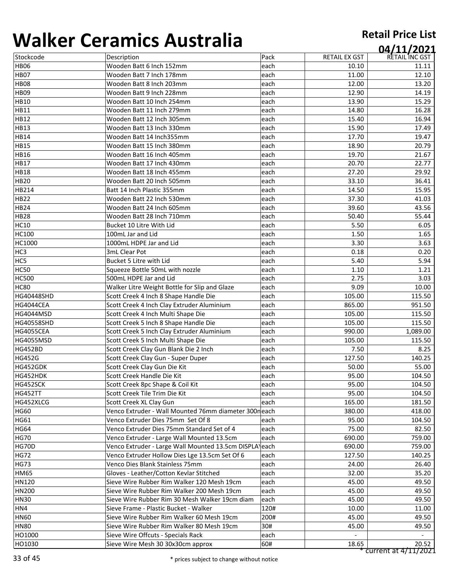| .                 | CT GITTING 7 TO JET GITE                               |      |                      | 04/11/2021           |
|-------------------|--------------------------------------------------------|------|----------------------|----------------------|
| Stockcode         | Description                                            | Pack | <b>RETAIL EX GST</b> | RETAIL INC GST       |
| <b>HB06</b>       | Wooden Batt 6 Inch 152mm                               | each | 10.10                | 11.11                |
| <b>HB07</b>       | Wooden Batt 7 Inch 178mm                               | each | 11.00                | 12.10                |
| <b>HB08</b>       | Wooden Batt 8 Inch 203mm                               | each | 12.00                | 13.20                |
| <b>HB09</b>       | Wooden Batt 9 Inch 228mm                               | each | 12.90                | 14.19                |
| <b>HB10</b>       | Wooden Batt 10 Inch 254mm                              | each | 13.90                | 15.29                |
| <b>HB11</b>       | Wooden Batt 11 Inch 279mm                              | each | 14.80                | 16.28                |
| <b>HB12</b>       | Wooden Batt 12 Inch 305mm                              | each | 15.40                | 16.94                |
| <b>HB13</b>       | Wooden Batt 13 Inch 330mm                              | each | 15.90                | 17.49                |
| <b>HB14</b>       | Wooden Batt 14 Inch355mm                               | each | 17.70                | 19.47                |
| <b>HB15</b>       | Wooden Batt 15 Inch 380mm                              | each | 18.90                | 20.79                |
| <b>HB16</b>       | Wooden Batt 16 Inch 405mm                              | each | 19.70                | 21.67                |
| <b>HB17</b>       | Wooden Batt 17 Inch 430mm                              | each | 20.70                | 22.77                |
| <b>HB18</b>       | Wooden Batt 18 Inch 455mm                              | each | 27.20                | 29.92                |
| <b>HB20</b>       | Wooden Batt 20 Inch 505mm                              | each | 33.10                | 36.41                |
| HB214             | Batt 14 Inch Plastic 355mm                             | each | 14.50                | 15.95                |
| <b>HB22</b>       | Wooden Batt 22 Inch 530mm                              | each | 37.30                | 41.03                |
| <b>HB24</b>       | Wooden Batt 24 Inch 605mm                              | each | 39.60                | 43.56                |
| <b>HB28</b>       | Wooden Batt 28 Inch 710mm                              | each | 50.40                | 55.44                |
| <b>HC10</b>       | Bucket 10 Litre With Lid                               | each | 5.50                 | 6.05                 |
| <b>HC100</b>      | 100mL Jar and Lid                                      | each | 1.50                 | 1.65                 |
| HC1000            | 1000mL HDPE Jar and Lid                                | each | 3.30                 | 3.63                 |
| HC3               | 3mL Clear Pot                                          | each | 0.18                 | 0.20                 |
| HC5               | <b>Bucket 5 Litre with Lid</b>                         | each | 5.40                 | 5.94                 |
| <b>HC50</b>       | Squeeze Bottle 50mL with nozzle                        | each | 1.10                 | 1.21                 |
| <b>HC500</b>      | 500mL HDPE Jar and Lid                                 | each | 2.75                 | 3.03                 |
| <b>HC80</b>       | Walker Litre Weight Bottle for Slip and Glaze          | each | 9.09                 | 10.00                |
| <b>HG40448SHD</b> | Scott Creek 4 Inch 8 Shape Handle Die                  | each | 105.00               | 115.50               |
| <b>HG4044CEA</b>  | Scott Creek 4 Inch Clay Extruder Aluminium             | each | 865.00               | 951.50               |
| <b>HG4044MSD</b>  | Scott Creek 4 Inch Multi Shape Die                     | each | 105.00               | 115.50               |
| <b>HG40558SHD</b> | Scott Creek 5 Inch 8 Shape Handle Die                  | each | 105.00               | 115.50               |
| <b>HG4055CEA</b>  | Scott Creek 5 Inch Clay Extruder Aluminium             | each | 990.00               | 1,089.00             |
| <b>HG4055MSD</b>  | Scott Creek 5 Inch Multi Shape Die                     | each | 105.00               | 115.50               |
| <b>HG452BD</b>    | Scott Creek Clay Gun Blank Die 2 Inch                  | each | 7.50                 | 8.25                 |
| <b>HG452G</b>     | Scott Creek Clay Gun - Super Duper                     | each | 127.50               | 140.25               |
| HG452GDK          | Scott Creek Clay Gun Die Kit                           | each | 50.00                | 55.00                |
| HG452HDK          | Scott Creek Handle Die Kit                             | each | 95.00                | 104.50               |
| HG452SCK          | Scott Creek 8pc Shape & Coil Kit                       | each | 95.00                | 104.50               |
| <b>HG452TT</b>    | Scott Creek Tile Trim Die Kit                          | each | 95.00                | 104.50               |
| HG452XLCG         | Scott Creek XL Clay Gun                                | each | 165.00               | 181.50               |
| <b>HG60</b>       | Venco Extruder - Wall Mounted 76mm diameter 300neach   |      | 380.00               | 418.00               |
| <b>HG61</b>       | Venco Extruder Dies 75mm Set Of 8                      | each | 95.00                | 104.50               |
| <b>HG64</b>       | Venco Extruder Dies 75mm Standard Set of 4             | each | 75.00                | 82.50                |
| <b>HG70</b>       | Venco Extruder - Large Wall Mounted 13.5cm             | each | 690.00               | 759.00               |
| HG70D             | Venco Extruder - Large Wall Mounted 13.5cm DISPLA\each |      | 690.00               | 759.00               |
| <b>HG72</b>       | Venco Extruder Hollow Dies Lge 13.5cm Set Of 6         | each | 127.50               | 140.25               |
| <b>HG73</b>       | Venco Dies Blank Stainless 75mm                        | each | 24.00                | 26.40                |
| <b>HM65</b>       | Gloves - Leather/Cotton Kevlar Stitched                | each | 32.00                | 35.20                |
| HN120             | Sieve Wire Rubber Rim Walker 120 Mesh 19cm             | each | 45.00                | 49.50                |
| <b>HN200</b>      | Sieve Wire Rubber Rim Walker 200 Mesh 19cm             | each | 45.00                | 49.50                |
| <b>HN30</b>       | Sieve Wire Rubber Rim 30 Mesh Walker 19cm diam         | each | 45.00                | 49.50                |
| HN4               | Sieve Frame - Plastic Bucket - Walker                  | 120# | 10.00                | 11.00                |
| <b>HN60</b>       | Sieve Wire Rubber Rim Walker 60 Mesh 19cm              | 200# | 45.00                | 49.50                |
| <b>HN80</b>       | Sieve Wire Rubber Rim Walker 80 Mesh 19cm              | 30#  | 45.00                | 49.50                |
| HO1000            | Sieve Wire Offcuts - Specials Rack                     | each |                      |                      |
| HO1030            | Sieve Wire Mesh 30 30x30cm approx                      | 60#  | 18.65                | 20.52                |
|                   |                                                        |      |                      | current at 4/11/2021 |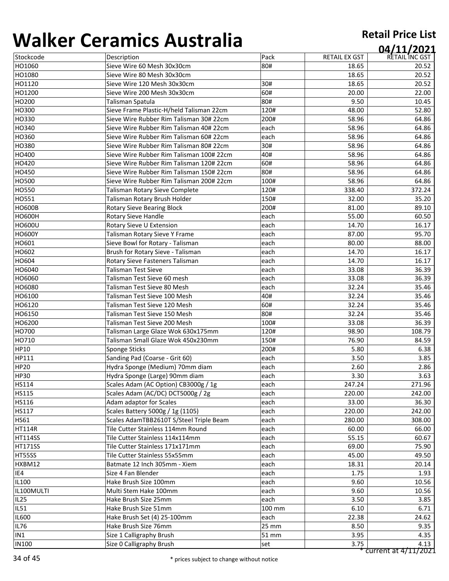| U J J I I V U  | ci alilicə 7 taştı alıa                  |        |                      | 04/11/2021     |
|----------------|------------------------------------------|--------|----------------------|----------------|
| Stockcode      | Description                              | Pack   | <b>RETAIL EX GST</b> | RETAIL INC GST |
| HO1060         | Sieve Wire 60 Mesh 30x30cm               | 80#    | 18.65                | 20.52          |
| HO1080         | Sieve Wire 80 Mesh 30x30cm               |        | 18.65                | 20.52          |
| HO1120         | Sieve Wire 120 Mesh 30x30cm              | 30#    | 18.65                | 20.52          |
| HO1200         | Sieve Wire 200 Mesh 30x30cm              | 60#    | 20.00                | 22.00          |
| HO200          | Talisman Spatula                         | 80#    | 9.50                 | 10.45          |
| HO300          | Sieve Frame Plastic-H/held Talisman 22cm | 120#   | 48.00                | 52.80          |
| HO330          | Sieve Wire Rubber Rim Talisman 30# 22cm  | 200#   | 58.96                | 64.86          |
| HO340          | Sieve Wire Rubber Rim Talisman 40# 22cm  | each   | 58.96                | 64.86          |
| HO360          | Sieve Wire Rubber Rim Talisman 60# 22cm  | each   | 58.96                | 64.86          |
| HO380          | Sieve Wire Rubber Rim Talisman 80# 22cm  | 30#    | 58.96                | 64.86          |
| HO400          | Sieve Wire Rubber Rim Talisman 100# 22cm | 40#    | 58.96                | 64.86          |
| HO420          | Sieve Wire Rubber Rim Talisman 120# 22cm | 60#    | 58.96                | 64.86          |
| HO450          | Sieve Wire Rubber Rim Talisman 150# 22cm | 80#    | 58.96                | 64.86          |
| HO500          | Sieve Wire Rubber Rim Talisman 200# 22cm | 100#   | 58.96                | 64.86          |
| <b>HO550</b>   | Talisman Rotary Sieve Complete           | 120#   | 338.40               | 372.24         |
| HO551          | Talisman Rotary Brush Holder             | 150#   | 32.00                | 35.20          |
| <b>HO600B</b>  | <b>Rotary Sieve Bearing Block</b>        | 200#   | 81.00                | 89.10          |
| <b>HO600H</b>  | Rotary Sieve Handle                      | each   | 55.00                | 60.50          |
| <b>HO600U</b>  | Rotary Sieve U Extension                 | each   | 14.70                | 16.17          |
| <b>HO600Y</b>  | Talisman Rotary Sieve Y Frame            | each   | 87.00                | 95.70          |
| HO601          | Sieve Bowl for Rotary - Talisman         | each   | 80.00                | 88.00          |
| HO602          | Brush for Rotary Sieve - Talisman        | each   | 14.70                | 16.17          |
| HO604          | <b>Rotary Sieve Fasteners Talisman</b>   | each   | 14.70                | 16.17          |
| HO6040         | Talisman Test Sieve                      | each   | 33.08                | 36.39          |
| HO6060         | Talisman Test Sieve 60 mesh              | each   | 33.08                | 36.39          |
| HO6080         | Talisman Test Sieve 80 Mesh              | each   | 32.24                | 35.46          |
| HO6100         | Talisman Test Sieve 100 Mesh             | 40#    | 32.24                | 35.46          |
| HO6120         | Talisman Test Sieve 120 Mesh             | 60#    | 32.24                | 35.46          |
| HO6150         | Talisman Test Sieve 150 Mesh             | 80#    | 32.24                | 35.46          |
| HO6200         | Talisman Test Sieve 200 Mesh             | 100#   | 33.08                | 36.39          |
| HO700          | Talisman Large Glaze Wok 630x175mm       | 120#   | 98.90                | 108.79         |
| HO710          | Talisman Small Glaze Wok 450x230mm       | 150#   | 76.90                | 84.59          |
| HP10           | <b>Sponge Sticks</b>                     | 200#   | 5.80                 | 6.38           |
| HP111          | Sanding Pad (Coarse - Grit 60)           | each   | 3.50                 | 3.85           |
| <b>HP20</b>    | Hydra Sponge (Medium) 70mm diam          | each   | 2.60                 | 2.86           |
| <b>HP30</b>    | Hydra Sponge (Large) 90mm diam           | each   | 3.30                 | 3.63           |
| HS114          | Scales Adam (AC Option) CB3000g / 1g     | each   | 247.24               | 271.96         |
| <b>HS115</b>   | Scales Adam (AC/DC) DCT5000g / 2g        | each   | 220.00               | 242.00         |
| HS116          | Adam adaptor for Scales                  | each   | 33.00                | 36.30          |
| HS117          | Scales Battery 5000g / 1g (1105)         | each   | 220.00               | 242.00         |
| <b>HS61</b>    | Scales AdamTBB2610T S/Steel Triple Beam  | each   | 280.00               | 308.00         |
| <b>HT114R</b>  | Tile Cutter Stainless 114mm Round        | each   | 60.00                | 66.00          |
| <b>HT114SS</b> | Tile Cutter Stainless 114x114mm          | each   | 55.15                | 60.67          |
| <b>HT171SS</b> | Tile Cutter Stainless 171x171mm          | each   | 69.00                | 75.90          |
| HT55SS         | Tile Cutter Stainless 55x55mm            | each   | 45.00                | 49.50          |
| HXBM12         | Batmate 12 Inch 305mm - Xiem             | each   | 18.31                | 20.14          |
| IE4            | Size 4 Fan Blender                       | each   | 1.75                 | 1.93           |
| IL100          | Hake Brush Size 100mm                    | each   | 9.60                 | 10.56          |
| IL100MULTI     | Multi Stem Hake 100mm                    | each   | 9.60                 | 10.56          |
| <b>IL25</b>    | Hake Brush Size 25mm                     | each   | 3.50                 | 3.85           |
| <b>IL51</b>    | Hake Brush Size 51mm                     | 100 mm | 6.10                 | 6.71           |
| <b>IL600</b>   | Hake Brush Set (4) 25-100mm              | each   | 22.38                | 24.62          |
| <b>IL76</b>    | Hake Brush Size 76mm                     | 25 mm  | 8.50                 | 9.35           |
| IN1            | Size 1 Calligraphy Brush                 | 51 mm  | 3.95                 | 4.35           |
| <b>IN100</b>   | Size O Calligraphy Brush                 | set    | 3.75                 | 4.13           |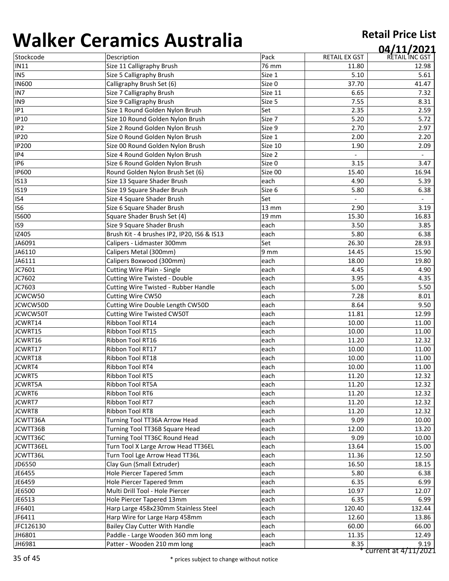| <b></b>         | <u>Crammes 7 18911 8118</u>                 |                   |                      | 04/11/2021     |
|-----------------|---------------------------------------------|-------------------|----------------------|----------------|
| Stockcode       | Description                                 | Pack              | <b>RETAIL EX GST</b> | RETAIL INC GST |
| <b>IN11</b>     | Size 11 Calligraphy Brush                   | 76 mm             | 11.80                | 12.98          |
| IN <sub>5</sub> | Size 5 Calligraphy Brush                    | Size 1            | 5.10                 | 5.61           |
| <b>IN600</b>    | Calligraphy Brush Set (6)                   | Size 0            | 37.70                | 41.47          |
| IN7             | Size 7 Calligraphy Brush                    | Size 11           | 6.65                 | 7.32           |
| IN9             | Size 9 Calligraphy Brush                    | Size 5            | 7.55                 | 8.31           |
| IP1             | Size 1 Round Golden Nylon Brush             | Set               | 2.35                 | 2.59           |
| <b>IP10</b>     | Size 10 Round Golden Nylon Brush            | Size 7            | 5.20                 | 5.72           |
| IP <sub>2</sub> | Size 2 Round Golden Nylon Brush             | Size 9            | 2.70                 | 2.97           |
| <b>IP20</b>     | Size 0 Round Golden Nylon Brush             | Size 1            | 2.00                 | 2.20           |
| <b>IP200</b>    | Size 00 Round Golden Nylon Brush            | Size 10           | 1.90                 | 2.09           |
| IP4             | Size 4 Round Golden Nylon Brush             | Size 2            |                      |                |
| IP <sub>6</sub> | Size 6 Round Golden Nylon Brush             | Size 0            | 3.15                 | 3.47           |
| <b>IP600</b>    | Round Golden Nylon Brush Set (6)            | Size 00           | 15.40                | 16.94          |
| <b>IS13</b>     | Size 13 Square Shader Brush                 | each              | 4.90                 | 5.39           |
| <b>IS19</b>     | Size 19 Square Shader Brush                 | Size 6            | 5.80                 | 6.38           |
| IS4             | Size 4 Square Shader Brush                  | Set               |                      |                |
| IS <sub>6</sub> | Size 6 Square Shader Brush                  | $13 \, \text{mm}$ | 2.90                 | 3.19           |
| <b>IS600</b>    | Square Shader Brush Set (4)                 | <b>19 mm</b>      | 15.30                | 16.83          |
| IS9             | Size 9 Square Shader Brush                  | each              | 3.50                 | 3.85           |
| IZ405           | Brush Kit - 4 brushes IP2, IP20, IS6 & IS13 | each              | 5.80                 | 6.38           |
| JA6091          | Calipers - Lidmaster 300mm                  | Set               | 26.30                | 28.93          |
| JA6110          | Calipers Metal (300mm)                      | 9 mm              | 14.45                | 15.90          |
| JA6111          | Calipers Boxwood (300mm)                    | each              | 18.00                | 19.80          |
| JC7601          | <b>Cutting Wire Plain - Single</b>          | each              | 4.45                 | 4.90           |
| JC7602          | <b>Cutting Wire Twisted - Double</b>        | each              | 3.95                 | 4.35           |
| JC7603          | <b>Cutting Wire Twisted - Rubber Handle</b> | each              | 5.00                 | 5.50           |
| JCWCW50         | <b>Cutting Wire CW50</b>                    | each              | 7.28                 | 8.01           |
| JCWCW50D        | Cutting Wire Double Length CW50D            | each              | 8.64                 | 9.50           |
| JCWCW50T        | <b>Cutting Wire Twisted CW50T</b>           | each              | 11.81                | 12.99          |
| JCWRT14         | Ribbon Tool RT14                            | each              | 10.00                | 11.00          |
| JCWRT15         | <b>Ribbon Tool RT15</b>                     | each              | 10.00                | 11.00          |
| JCWRT16         | Ribbon Tool RT16                            | each              | 11.20                | 12.32          |
| JCWRT17         | Ribbon Tool RT17                            | each              | 10.00                | 11.00          |
| JCWRT18         | Ribbon Tool RT18                            | each              | 10.00                | 11.00          |
| JCWRT4          | <b>Ribbon Tool RT4</b>                      | each              | 10.00                | 11.00          |
| <b>JCWRT5</b>   | <b>Ribbon Tool RT5</b>                      | each              | 11.20                | 12.32          |
| <b>JCWRT5A</b>  | Ribbon Tool RT5A                            | each              | 11.20                | 12.32          |
| JCWRT6          | <b>Ribbon Tool RT6</b>                      | each              | 11.20                | 12.32          |
| JCWRT7          | <b>Ribbon Tool RT7</b>                      | each              | 11.20                | 12.32          |
| JCWRT8          | <b>Ribbon Tool RT8</b>                      | each              | 11.20                | 12.32          |
| JCWTT36A        | Turning Tool TT36A Arrow Head               | each              | 9.09                 | 10.00          |
| JCWTT36B        | Turning Tool TT36B Square Head              | each              | 12.00                | 13.20          |
| JCWTT36C        | Turning Tool TT36C Round Head               | each              | 9.09                 | 10.00          |
| JCWTT36EL       | Turn Tool X Large Arrow Head TT36EL         | each              | 13.64                | 15.00          |
| JCWTT36L        | Turn Tool Lge Arrow Head TT36L              | each              | 11.36                | 12.50          |
| JD6550          | Clay Gun (Small Extruder)                   | each              | 16.50                | 18.15          |
| JE6455          | Hole Piercer Tapered 5mm                    | each              | 5.80                 | 6.38           |
| JE6459          | Hole Piercer Tapered 9mm                    | each              | 6.35                 | 6.99           |
| JE6500          | Multi Drill Tool - Hole Piercer             | each              | 10.97                | 12.07          |
| JE6513          | Hole Piercer Tapered 13mm                   | each              | 6.35                 | 6.99           |
| JF6401          | Harp Large 458x230mm Stainless Steel        | each              | 120.40               | 132.44         |
| JF6411          | Harp Wire for Large Harp 458mm              | each              | 12.60                | 13.86          |
| JFC126130       | Bailey Clay Cutter With Handle              | each              | 60.00                | 66.00          |
| JH6801          | Paddle - Large Wooden 360 mm long           | each              | 11.35                | 12.49          |
| JH6981          | Patter - Wooden 210 mm long                 | each              | 8.35                 | 9.19           |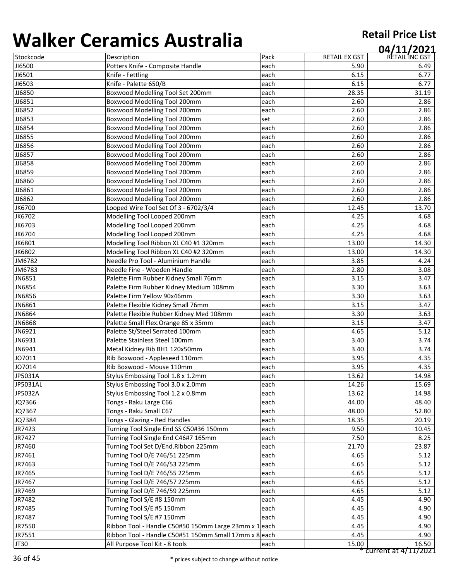| ,,,,,,,,,,    | <u>. amnos rasarana</u>                                          |      |                      | 04/11/2021           |
|---------------|------------------------------------------------------------------|------|----------------------|----------------------|
| Stockcode     | Description                                                      | Pack | <b>RETAIL EX GST</b> | RETAIL INC GST       |
| <b>JI6500</b> | Potters Knife - Composite Handle                                 | each | 5.90                 | 6.49                 |
| JI6501        | Knife - Fettling                                                 | each | 6.15                 | 6.77                 |
| JI6503        | Knife - Palette 650/B                                            | each | 6.15                 | 6.77                 |
| JJ6850        | Boxwood Modelling Tool Set 200mm                                 | each | 28.35                | 31.19                |
| JJ6851        | Boxwood Modelling Tool 200mm                                     | each | 2.60                 | 2.86                 |
| JJ6852        | Boxwood Modelling Tool 200mm                                     | each | 2.60                 | 2.86                 |
| JJ6853        | Boxwood Modelling Tool 200mm                                     | set  | 2.60                 | 2.86                 |
| JJ6854        | Boxwood Modelling Tool 200mm                                     | each | 2.60                 | 2.86                 |
| JJ6855        | Boxwood Modelling Tool 200mm                                     | each | 2.60                 | 2.86                 |
| JJ6856        | Boxwood Modelling Tool 200mm                                     | each | 2.60                 | 2.86                 |
| JJ6857        | Boxwood Modelling Tool 200mm                                     | each | 2.60                 | 2.86                 |
| JJ6858        | Boxwood Modelling Tool 200mm                                     | each | 2.60                 | 2.86                 |
| JJ6859        | Boxwood Modelling Tool 200mm                                     | each | 2.60                 | 2.86                 |
| JJ6860        | Boxwood Modelling Tool 200mm                                     | each | 2.60                 | 2.86                 |
| JJ6861        | Boxwood Modelling Tool 200mm                                     | each | 2.60                 | 2.86                 |
| JJ6862        | Boxwood Modelling Tool 200mm                                     | each | 2.60                 | 2.86                 |
| JK6700        | Looped Wire Tool Set Of 3 - 6702/3/4                             | each | 12.45                | 13.70                |
| JK6702        | Modelling Tool Looped 200mm                                      | each | 4.25                 | 4.68                 |
| JK6703        | Modelling Tool Looped 200mm                                      | each | 4.25                 | 4.68                 |
| JK6704        | Modelling Tool Looped 200mm                                      | each | 4.25                 | 4.68                 |
| JK6801        | Modelling Tool Ribbon XL C40 #1 320mm                            | each | 13.00                | 14.30                |
| JK6802        | Modelling Tool Ribbon XL C40 #2 320mm                            | each | 13.00                | 14.30                |
| JM6782        | Needle Pro Tool - Aluminium Handle                               | each | 3.85                 | 4.24                 |
| JM6783        | Needle Fine - Wooden Handle                                      | each | 2.80                 | 3.08                 |
| JN6851        | Palette Firm Rubber Kidney Small 76mm                            | each | 3.15                 | 3.47                 |
| JN6854        | Palette Firm Rubber Kidney Medium 108mm                          | each | 3.30                 | 3.63                 |
| JN6856        | Palette Firm Yellow 90x46mm                                      | each | 3.30                 | 3.63                 |
| JN6861        | Palette Flexible Kidney Small 76mm                               | each | 3.15                 | 3.47                 |
| JN6864        | Palette Flexible Rubber Kidney Med 108mm                         | each | 3.30                 | 3.63                 |
| JN6868        | Palette Small Flex. Orange 85 x 35mm                             | each | 3.15                 | 3.47                 |
|               |                                                                  |      |                      |                      |
| JN6921        | Palette St/Steel Serrated 100mm<br>Palette Stainless Steel 100mm | each | 4.65                 | 5.12                 |
| JN6931        |                                                                  | each | 3.40                 | 3.74                 |
| JN6941        | Metal Kidney Rib BH1 120x50mm                                    | each | 3.40                 | 3.74                 |
| JO7011        | Rib Boxwood - Appleseed 110mm                                    | each | 3.95                 | 4.35                 |
| JO7014        | Rib Boxwood - Mouse 110mm                                        | each | 3.95                 | 4.35                 |
| JP5031A       | Stylus Embossing Tool 1.8 x 1.2mm                                | each | 13.62                | 14.98                |
| JP5031AL      | Stylus Embossing Tool 3.0 x 2.0mm                                | each | 14.26                | 15.69                |
| JP5032A       | Stylus Embossing Tool 1.2 x 0.8mm                                | each | 13.62                | 14.98                |
| JQ7366        | Tongs - Raku Large C66                                           | each | 44.00                | 48.40                |
| JQ7367        | Tongs - Raku Small C67                                           | each | 48.00                | 52.80                |
| JQ7384        | Tongs - Glazing - Red Handles                                    | each | 18.35                | 20.19                |
| JR7423        | Turning Tool Single End SS C50#36 150mm                          | each | 9.50                 | 10.45                |
| JR7427        | Turning Tool Single End C46#7 165mm                              | each | 7.50                 | 8.25                 |
| JR7460        | Turning Tool Set D/End.Ribbon 225mm                              | each | 21.70                | 23.87                |
| JR7461        | Turning Tool D/E 746/51 225mm                                    | each | 4.65                 | 5.12                 |
| JR7463        | Turning Tool D/E 746/53 225mm                                    | each | 4.65                 | 5.12                 |
| JR7465        | Turning Tool D/E 746/55 225mm                                    | each | 4.65                 | 5.12                 |
| JR7467        | Turning Tool D/E 746/57 225mm                                    | each | 4.65                 | 5.12                 |
| JR7469        | Turning Tool D/E 746/59 225mm                                    | each | 4.65                 | 5.12                 |
| JR7482        | Turning Tool S/E #8 150mm                                        | each | 4.45                 | 4.90                 |
| JR7485        | Turning Tool S/E #5 150mm                                        | each | 4.45                 | 4.90                 |
| JR7487        | Turning Tool S/E #7 150mm                                        | each | 4.45                 | 4.90                 |
| JR7550        | Ribbon Tool - Handle C50#50 150mm Large 23mm x 1 each            |      | 4.45                 | 4.90                 |
| JR7551        | Ribbon Tool - Handle C50#51 150mm Small 17mm x 8 each            |      | 4.45                 | 4.90                 |
| JT30          | All Purpose Tool Kit - 8 tools                                   | each | 15.00                | 16.50                |
|               |                                                                  |      |                      | current at 4/11/2021 |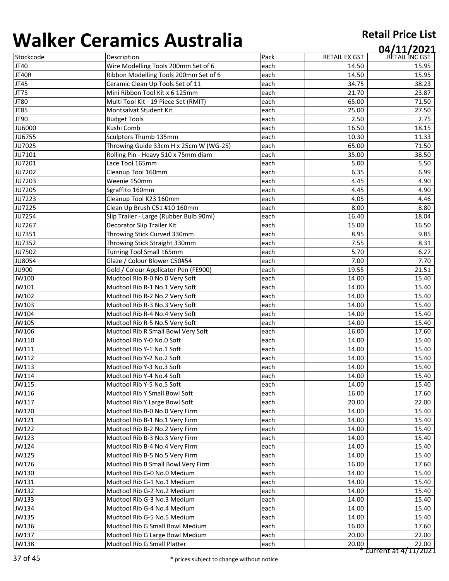| ,,,,,,,,,,    | ci ullilley 7 (uyti ullu                |      |               | 04/11/2021     |
|---------------|-----------------------------------------|------|---------------|----------------|
| Stockcode     | Description                             | Pack | RETAIL EX GST | RETAIL INC GST |
| JT40          | Wire Modelling Tools 200mm Set of 6     | each | 14.50         | 15.95          |
| JT40R         | Ribbon Modelling Tools 200mm Set of 6   | each | 14.50         | 15.95          |
| JT45          | Ceramic Clean Up Tools Set of 11        | each | 34.75         | 38.23          |
| JT75          | Mini Ribbon Tool Kit x 6 125mm          | each | 21.70         | 23.87          |
| JT80          | Multi Tool Kit - 19 Piece Set (RMIT)    | each | 65.00         | 71.50          |
| JT85          | Montsalvat Student Kit                  | each | 25.00         | 27.50          |
| JT90          | <b>Budget Tools</b>                     | each | 2.50          | 2.75           |
| <b>JU6000</b> | Kushi Comb                              | each | 16.50         | 18.15          |
| <b>JU6755</b> | Sculptors Thumb 135mm                   | each | 10.30         | 11.33          |
| JU7025        | Throwing Guide 33cm H x 25cm W (WG-25)  | each | 65.00         | 71.50          |
| JU7101        | Rolling Pin - Heavy 510 x 75mm diam     | each | 35.00         | 38.50          |
| JU7201        | Lace Tool 165mm                         | each | 5.00          | 5.50           |
| JU7202        | Cleanup Tool 160mm                      | each | 6.35          | 6.99           |
| JU7203        | Weenie 150mm                            | each | 4.45          | 4.90           |
| JU7205        | Sgraffito 160mm                         | each | 4.45          | 4.90           |
| JU7223        | Cleanup Tool K23 160mm                  | each | 4.05          | 4.46           |
| JU7225        | Clean Up Brush C51 #10 160mm            | each | 8.00          | 8.80           |
| JU7254        | Slip Trailer - Large (Rubber Bulb 90ml) | each | 16.40         | 18.04          |
| JU7267        | Decorator Slip Trailer Kit              | each | 15.00         | 16.50          |
| JU7351        | Throwing Stick Curved 330mm             | each | 8.95          | 9.85           |
| JU7352        | Throwing Stick Straight 330mm           | each | 7.55          | 8.31           |
| JU7502        | <b>Turning Tool Small 165mm</b>         | each | 5.70          | 6.27           |
| <b>JU8054</b> | Glaze / Colour Blower C50#54            | each | 7.00          | 7.70           |
| <b>JU900</b>  | Gold / Colour Applicator Pen (FE900)    | each | 19.55         | 21.51          |
| JW100         | Mudtool Rib R-0 No.0 Very Soft          | each | 14.00         | 15.40          |
| JW101         | Mudtool Rib R-1 No.1 Very Soft          | each | 14.00         | 15.40          |
| JW102         | Mudtool Rib R-2 No.2 Very Soft          | each | 14.00         | 15.40          |
| JW103         | Mudtool Rib R-3 No.3 Very Soft          | each | 14.00         | 15.40          |
| JW104         | Mudtool Rib R-4 No.4 Very Soft          | each | 14.00         | 15.40          |
| JW105         | Mudtool Rib R-5 No.5 Very Soft          | each | 14.00         | 15.40          |
| JW106         | Mudtool Rib R Small Bowl Very Soft      | each | 16.00         | 17.60          |
| JW110         | Mudtool Rib Y-0 No.0 Soft               | each | 14.00         | 15.40          |
| JW111         | Mudtool Rib Y-1 No.1 Soft               | each | 14.00         | 15.40          |
| JW112         | Mudtool Rib Y-2 No.2 Soft               | each | 14.00         | 15.40          |
| JW113         | Mudtool Rib Y-3 No.3 Soft               | each | 14.00         | 15.40          |
| JW114         | Mudtool Rib Y-4 No.4 Soft               | each | 14.00         | 15.40          |
| JW115         | Mudtool Rib Y-5 No.5 Soft               | each | 14.00         | 15.40          |
| JW116         | Mudtool Rib Y Small Bowl Soft           | each | 16.00         | 17.60          |
| JW117         | Mudtool Rib Y Large Bowl Soft           | each | 20.00         | 22.00          |
| JW120         | Mudtool Rib B-0 No.0 Very Firm          | each | 14.00         | 15.40          |
| JW121         | Mudtool Rib B-1 No.1 Very Firm          | each | 14.00         | 15.40          |
| JW122         | Mudtool Rib B-2 No.2 Very Firm          | each | 14.00         | 15.40          |
| JW123         | Mudtool Rib B-3 No.3 Very Firm          | each | 14.00         | 15.40          |
| JW124         | Mudtool Rib B-4 No.4 Very Firm          | each | 14.00         | 15.40          |
| JW125         | Mudtool Rib B-5 No.5 Very Firm          | each | 14.00         | 15.40          |
| JW126         | Mudtool Rib B Small Bowl Very Firm      | each | 16.00         | 17.60          |
| JW130         | Mudtool Rib G-0 No.0 Medium             | each | 14.00         | 15.40          |
| JW131         | Mudtool Rib G-1 No.1 Medium             | each | 14.00         | 15.40          |
| JW132         | Mudtool Rib G-2 No.2 Medium             | each | 14.00         | 15.40          |
| JW133         | Mudtool Rib G-3 No.3 Medium             | each | 14.00         | 15.40          |
| JW134         | Mudtool Rib G-4 No.4 Medium             | each | 14.00         | 15.40          |
| JW135         | Mudtool Rib G-5 No.5 Medium             | each | 14.00         | 15.40          |
| JW136         | Mudtool Rib G Small Bowl Medium         | each | 16.00         | 17.60          |
| JW137         | Mudtool Rib G Large Bowl Medium         | each | 20.00         | 22.00          |
| JW138         | Mudtool Rib G Small Platter             | each | 20.00         | 22.00          |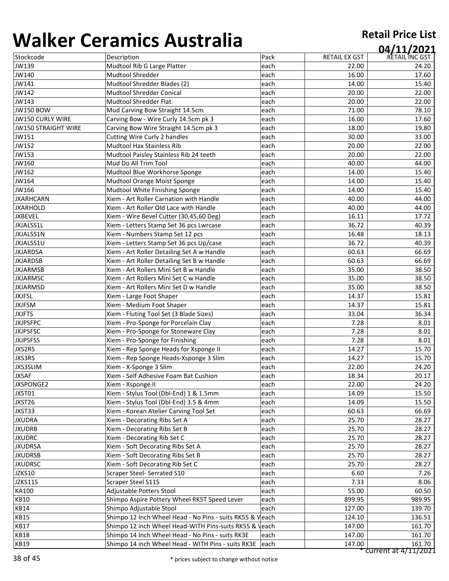| 1 J J I I V V              | 97191111997199719119                                     |      |                      | 04/11/2021           |
|----------------------------|----------------------------------------------------------|------|----------------------|----------------------|
| Stockcode                  | Description                                              | Pack | <b>RETAIL EX GST</b> | RETAIL INC GST       |
| JW139                      | Mudtool Rib G Large Platter                              | each | 22.00                | 24.20                |
| JW140                      | Mudtool Shredder                                         | each | 16.00                | 17.60                |
| JW141                      | Mudtool Shredder Blades (2)                              | each | 14.00                | 15.40                |
| JW142                      | <b>Mudtool Shredder Conical</b>                          | each | 20.00                | 22.00                |
| JW143                      | Mudtool Shredder Flat                                    | each | 20.00                | 22.00                |
| <b>JW150 BOW</b>           | Mud Carving Bow Straight 14.5cm                          | each | 71.00                | 78.10                |
| <b>JW150 CURLY WIRE</b>    | Carving Bow - Wire Curly 14.5cm pk 3                     | each | 16.00                | 17.60                |
| <b>JW150 STRAIGHT WIRE</b> | Carving Bow Wire Straight 14.5cm pk 3                    | each | 18.00                | 19.80                |
| JW151                      | Cutting Wire Curly 2 handles                             | each | 30.00                | 33.00                |
| JW152                      | Mudtool Hax Stainless Rib                                | each | 20.00                | 22.00                |
| JW153                      | Mudtool Paisley Stainless Rib 24 teeth                   | each | 20.00                | 22.00                |
| JW160                      | Mud Do All Trim Tool                                     | each | 40.00                | 44.00                |
| JW162                      | Mudtool Blue Workhorse Sponge                            | each | 14.00                | 15.40                |
| JW164                      | Mudtool Orange Moist Sponge                              | each | 14.00                | 15.40                |
| JW166                      | Mudtool White Finishing Sponge                           | each | 14.00                | 15.40                |
| <b>JXARHCARN</b>           | Xiem - Art Roller Carnation with Handle                  | each | 40.00                | 44.00                |
| <b>JXARHOLD</b>            | Xiem - Art Roller Old Lace with Handle                   | each | 40.00                | 44.00                |
| <b>JXBEVEL</b>             | Xiem - Wire Bevel Cutter (30,45,60 Deg)                  | each | 16.11                | 17.72                |
| JXJALSS1L                  | Xiem - Letters Stamp Set 36 pcs Lwrcase                  | each | 36.72                | 40.39                |
| JXJALSS1N                  | Xiem - Numbers Stamp Set 12 pcs                          | each | 16.48                | 18.13                |
| JXJALSS1U                  | Xiem - Letters Stamp Set 36 pcs Up/case                  | each | 36.72                | 40.39                |
| <b>JXJARDSA</b>            | Xiem - Art Roller Detailing Set A w Handle               | each | 60.63                | 66.69                |
| <b>JXJARDSB</b>            | Xiem - Art Roller Detailing Set B w Handle               | each | 60.63                | 66.69                |
| <b>JXJARMSB</b>            | Xiem - Art Rollers Mini Set B w Handle                   | each | 35.00                | 38.50                |
|                            |                                                          |      |                      |                      |
| <b>JXJARMSC</b>            | Xiem - Art Rollers Mini Set C w Handle                   | each | 35.00                | 38.50                |
| <b>JXJARMSD</b>            | Xiem - Art Rollers Mini Set D w Handle                   | each | 35.00                | 38.50                |
| <b>JXJFSL</b>              | Xiem - Large Foot Shaper                                 | each | 14.37                | 15.81                |
| <b>JXJFSM</b>              | Xiem - Medium Foot Shaper                                | each | 14.37                | 15.81                |
| <b>JXJFTS</b>              | Xiem - Fluting Tool Set (3 Blade Sizes)                  | each | 33.04                | 36.34                |
| <b>JXJPSFPC</b>            | Xiem - Pro-Sponge for Porcelain Clay                     | each | 7.28                 | 8.01                 |
| <b>JXJPSFSC</b>            | Xiem - Pro-Sponge for Stoneware Clay                     | each | 7.28                 | 8.01                 |
| <b>JXJPSFSS</b>            | Xiem - Pro-Sponge for Finishing                          | each | 7.28                 | 8.01                 |
| JXS2RS                     | Xiem - Rep Sponge Heads for Xsponge II                   | each | 14.27                | 15.70                |
| JXS3RS                     | Xiem - Rep Sponge Heads-Xsponge 3 Slim                   | each | 14.27                | 15.70                |
| <b>JXS3SLIM</b>            | Xiem - X-Sponge 3 Slim                                   | each | 22.00                | 24.20                |
| <b>JXSAF</b>               | Xiem - Self Adhesive Foam Bat Cushion                    | each | 18.34                | 20.17                |
| <b>JXSPONGE2</b>           | Xiem - Xsponge II                                        | each | 22.00                | 24.20                |
| JXST01                     | Xiem - Stylus Tool (Dbl-End) 1 & 1.5mm                   | each | 14.09                | 15.50                |
| JXST26                     | Xiem - Stylus Tool (Dbl-End) 3.5 & 4mm                   | each | 14.09                | 15.50                |
| JXST33                     | Xiem - Korean Atelier Carving Tool Set                   | each | 60.63                | 66.69                |
| <b>JXUDRA</b>              | Xiem - Decorating Ribs Set A                             | each | 25.70                | 28.27                |
| <b>JXUDRB</b>              | Xiem - Decorating Ribs Set B                             | each | 25.70                | 28.27                |
| <b>JXUDRC</b>              | Xiem - Decorating Rib Set C                              | each | 25.70                | 28.27                |
| <b>JXUDRSA</b>             | Xiem - Soft Decorating Ribs Set A                        | each | 25.70                | 28.27                |
| <b>JXUDRSB</b>             | Xiem - Soft Decorating Ribs Set B                        | each | 25.70                | 28.27                |
| <b>JXUDRSC</b>             | Xiem - Soft Decorating Rib Set C                         | each | 25.70                | 28.27                |
| JZKS10                     | Scraper Steel- Serrated S10                              | each | 6.60                 | 7.26                 |
| JZKS11S                    | Scraper Steel S11S                                       | each | 7.33                 | 8.06                 |
| KA100                      | Adjustable Potters Stool                                 | each | 55.00                | 60.50                |
| <b>KB10</b>                | Shimpo Aspire Pottery Wheel RK5T Speed Lever             | each | 899.95               | 989.95               |
| <b>KB14</b>                | Shimpo Adjustable Stool                                  | each | 127.00               | 139.70               |
| KB15                       | Shimpo 12 Inch Wheel Head - No Pins - suits RK55 & Veach |      | 124.10               | 136.51               |
| <b>KB17</b>                | Shimpo 12 inch Wheel Head-WITH Pins-suits RK55 & Veach   |      | 147.00               | 161.70               |
| <b>KB18</b>                | Shimpo 14 Inch Wheel Head - No Pins - suits RK3E         | each | 147.00               | 161.70               |
| <b>KB19</b>                | Shimpo 14 inch Wheel Head - WITH Pins - suits RK3E       | each | 147.00               | 161.70               |
|                            |                                                          |      |                      | current at 4/11/2021 |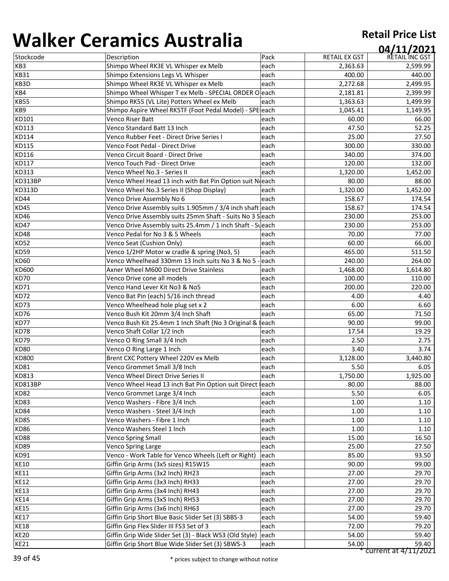| ,,,,,,,,,,    | <u>amiss , lasce and</u>                                  |      |                      | 04/11/2021           |
|---------------|-----------------------------------------------------------|------|----------------------|----------------------|
| Stockcode     | Description                                               | Pack | <b>RETAIL EX GST</b> | RETAIL INC GST       |
| KB3           | Shimpo Wheel RK3E VL Whisper ex Melb                      | each | 2,363.63             | 2,599.99             |
| <b>KB31</b>   | Shimpo Extensions Legs VL Whisper                         | each | 400.00               | 440.00               |
| KB3D          | Shimpo Wheel RK3E VL Whisper ex Melb                      | each | 2,272.68             | 2,499.95             |
| KB4           | Shimpo Wheel Whisper T ex Melb - SPECIAL ORDER O each     |      | 2,181.81             | 2,399.99             |
| <b>KB55</b>   | Shimpo RK55 (VL Lite) Potters Wheel ex Melb               | each | 1,363.63             | 1,499.99             |
| KB9           | Shimpo Aspire Wheel RK5TF (Foot Pedal Model) - SPE each   |      | 1,045.41             | 1,149.95             |
| KD101         | Venco Riser Batt                                          | each | 60.00                | 66.00                |
| KD113         | Venco Standard Batt 13 Inch                               | each | 47.50                | 52.25                |
| KD114         | Venco Rubber Feet - Direct Drive Series I                 | each | 25.00                | 27.50                |
| KD115         | Venco Foot Pedal - Direct Drive                           | each | 300.00               | 330.00               |
| KD116         | Venco Circuit Board - Direct Drive                        | each | 340.00               | 374.00               |
| KD117         | Venco Touch Pad - Direct Drive                            | each | 120.00               | 132.00               |
| KD313         | Venco Wheel No.3 - Series II                              | each | 1,320.00             | 1,452.00             |
| KD313BP       | Venco Wheel Head 13 inch with Bat Pin Option suit Neach   |      | 80.00                | 88.00                |
| <b>KD313D</b> | Venco Wheel No.3 Series II (Shop Display)                 | each | 1,320.00             | 1,452.00             |
| KD44          | Venco Drive Assembly No 6                                 | each | 158.67               | 174.54               |
| <b>KD45</b>   | Venco Drive Assembly suits 1.905mm / 3/4 inch shaft each  |      | 158.67               | 174.54               |
| KD46          | Venco Drive Assembly suits 25mm Shaft - Suits No 3 Seach  |      | 230.00               | 253.00               |
| KD47          | Venco Drive Assembly suits 25.4mm / 1 inch Shaft - Sueach |      | 230.00               | 253.00               |
| <b>KD48</b>   | Venco Pedal for No 3 & 5 Wheels                           | each | 70.00                | 77.00                |
| <b>KD52</b>   | <b>Venco Seat (Cushion Only)</b>                          | each | 60.00                | 66.00                |
| <b>KD59</b>   | Venco 1/2HP Motor w cradle & spring (No3, 5)              | each | 465.00               | 511.50               |
| <b>KD60</b>   | Venco Wheelhead 330mm 13 Inch suits No 3 & No 5           | each | 240.00               | 264.00               |
| KD600         | Axner Wheel M600 Direct Drive Stainless                   | each | 1,468.00             | 1,614.80             |
| <b>KD70</b>   | Venco Drive cone all models                               | each | 100.00               | 110.00               |
| KD71          | Venco Hand Lever Kit No3 & No5                            | each | 200.00               | 220.00               |
| KD72          | Venco Bat Pin (each) 5/16 inch thread                     | each | 4.00                 | 4.40                 |
| KD73          | Venco Wheelhead hole plug set x 2                         | each | 6.00                 | 6.60                 |
| KD76          | Venco Bush Kit 20mm 3/4 Inch Shaft                        | each | 65.00                | 71.50                |
| KD77          | Venco Bush Kit 25.4mm 1 Inch Shaft (No 3 Original &       | each | 90.00                | 99.00                |
| KD78          | Venco Shaft Collar 1/2 Inch                               | each | 17.54                | 19.29                |
| KD79          | Venco O Ring Small 3/4 Inch                               | each | 2.50                 | 2.75                 |
| <b>KD80</b>   | Venco O Ring Large 1 Inch                                 | each | 3.40                 | 3.74                 |
| KD800         | Brent CXC Pottery Wheel 220V ex Melb                      | each | 3,128.00             | 3,440.80             |
| <b>KD81</b>   | Venco Grommet Small 3/8 Inch                              | each | 5.50                 | 6.05                 |
| KD813         | Venco Wheel Direct Drive Series II                        | each | 1,750.00             | 1,925.00             |
| KD813BP       | Venco Wheel Head 13 inch Bat Pin Option suit Direct Leach |      | 80.00                | 88.00                |
| <b>KD82</b>   | Venco Grommet Large 3/4 Inch                              | each | 5.50                 | 6.05                 |
| KD83          | Venco Washers - Fibre 3/4 Inch                            | each | 1.00                 | 1.10                 |
| KD84          | Venco Washers - Steel 3/4 Inch                            | each | 1.00                 | 1.10                 |
| <b>KD85</b>   | Venco Washers - Fibre 1 Inch                              | each | 1.00                 | 1.10                 |
| KD86          | Venco Washers Steel 1 Inch                                | each | 1.00                 | 1.10                 |
| KD88          | <b>Venco Spring Small</b>                                 | each | 15.00                | 16.50                |
| KD89          | <b>Venco Spring Large</b>                                 | each | 25.00                | 27.50                |
| KD91          | Venco - Work Table for Venco Wheels (Left or Right)       | each | 85.00                | 93.50                |
| <b>KE10</b>   | Giffin Grip Arms (3x5 sizes) R15W15                       | each | 90.00                | 99.00                |
| <b>KE11</b>   | Giffin Grip Arms (3x2 Inch) RH23                          | each | 27.00                | 29.70                |
| <b>KE12</b>   | Giffin Grip Arms (3x3 Inch) RH33                          | each | 27.00                | 29.70                |
| <b>KE13</b>   | Giffin Grip Arms (3x4 Inch) RH43                          | each | 27.00                | 29.70                |
| <b>KE14</b>   | Giffin Grip Arms (3x5 Inch) RH53                          | each | 27.00                | 29.70                |
| <b>KE15</b>   | Giffin Grip Arms (3x6 Inch) RH63                          | each | 27.00                | 29.70                |
| <b>KE17</b>   | Giffin Grip Short Blue Basic Slider Set (3) SBBS-3        | each | 54.00                | 59.40                |
| <b>KE18</b>   | Giffin Grip Flex Slider III FS3 Set of 3                  | each | 72.00                | 79.20                |
| <b>KE20</b>   | Giffin Grip Wide Slider Set (3) - Black WS3 (Old Style)   | each | 54.00                | 59.40                |
| <b>KE21</b>   | Giffin Grip Short Blue Wide Slider Set (3) SBWS-3         | each | 54.00                | 59.40                |
|               |                                                           |      |                      | current at 4/11/2021 |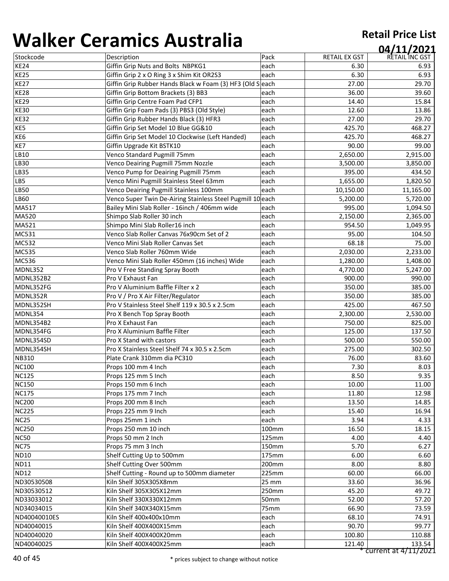| .            |                                                            |                  |                      | 04/11/2021     |
|--------------|------------------------------------------------------------|------------------|----------------------|----------------|
| Stockcode    | Description                                                | Pack             | <b>RETAIL EX GST</b> | RETAIL INC GST |
| <b>KE24</b>  | Giffin Grip Nuts and Bolts NBPKG1                          | each             | 6.30                 | 6.93           |
| <b>KE25</b>  | Giffin Grip 2 x O Ring 3 x Shim Kit OR2S3                  | each             | 6.30                 | 6.93           |
| <b>KE27</b>  | Giffin Grip Rubber Hands Black w Foam (3) HF3 (Old S each  |                  | 27.00                | 29.70          |
| <b>KE28</b>  | Giffin Grip Bottom Brackets (3) BB3                        | each             | 36.00                | 39.60          |
| <b>KE29</b>  | Giffin Grip Centre Foam Pad CFP1                           | each             | 14.40                | 15.84          |
| <b>KE30</b>  | Giffin Grip Foam Pads (3) PBS3 (Old Style)                 | each             | 12.60                | 13.86          |
| <b>KE32</b>  | Giffin Grip Rubber Hands Black (3) HFR3                    | each             | 27.00                | 29.70          |
| KE5          | Giffin Grip Set Model 10 Blue GG&10                        | each             | 425.70               | 468.27         |
| KE6          | Giffin Grip Set Model 10 Clockwise (Left Handed)           | each             | 425.70               | 468.27         |
| KE7          | Giffin Upgrade Kit BSTK10                                  | each             | 90.00                | 99.00          |
| LB10         | Venco Standard Pugmill 75mm                                | each             | 2,650.00             | 2,915.00       |
| LB30         | Venco Deairing Pugmill 75mm Nozzle                         | each             | 3,500.00             | 3,850.00       |
| LB35         | Venco Pump for Deairing Pugmill 75mm                       | each             | 395.00               | 434.50         |
| LB5          | Venco Mini Pugmill Stainless Steel 63mm                    | each             | 1,655.00             | 1,820.50       |
| LB50         | Venco Deairing Pugmill Stainless 100mm                     | each             | 10,150.00            | 11,165.00      |
| LB60         | Venco Super Twin De-Airing Stainless Steel Pugmill 10 each |                  | 5,200.00             | 5,720.00       |
| MA517        | Bailey Mini Slab Roller - 16inch / 406mm wide              | each             | 995.00               | 1,094.50       |
| MA520        | Shimpo Slab Roller 30 inch                                 | each             | 2,150.00             | 2,365.00       |
| MA521        | Shimpo Mini Slab Roller16 inch                             | each             | 954.50               | 1,049.95       |
| MC531        | Venco Slab Roller Canvas 76x90cm Set of 2                  | each             | 95.00                | 104.50         |
| MC532        | Venco Mini Slab Roller Canvas Set                          | each             | 68.18                | 75.00          |
| <b>MC535</b> | Venco Slab Roller 760mm Wide                               | each             | 2,030.00             | 2,233.00       |
| MC536        | Venco Mini Slab Roller 450mm (16 inches) Wide              | each             | 1,280.00             | 1,408.00       |
| MDNL352      | Pro V Free Standing Spray Booth                            | each             | 4,770.00             | 5,247.00       |
| MDNL352B2    | Pro V Exhaust Fan                                          | each             | 900.00               | 990.00         |
| MDNL352FG    | Pro V Aluminium Baffle Filter x 2                          | each             | 350.00               | 385.00         |
| MDNL352R     | Pro V / Pro X Air Filter/Regulator                         | each             | 350.00               | 385.00         |
| MDNL352SH    | Pro V Stainless Steel Shelf 119 x 30.5 x 2.5cm             | each             | 425.00               | 467.50         |
| MDNL354      | Pro X Bench Top Spray Booth                                | each             | 2,300.00             | 2,530.00       |
| MDNL354B2    | Pro X Exhaust Fan                                          | each             | 750.00               | 825.00         |
| MDNL354FG    | Pro X Aluminium Baffle Filter                              | each             | 125.00               | 137.50         |
| MDNL354SD    | Pro X Stand with castors                                   | each             | 500.00               | 550.00         |
| MDNL354SH    | Pro X Stainless Steel Shelf 74 x 30.5 x 2.5cm              | each             | 275.00               | 302.50         |
| <b>NB310</b> | Plate Crank 310mm dia PC310                                | each             | 76.00                | 83.60          |
| <b>NC100</b> | Props 100 mm 4 Inch                                        | each             | 7.30                 | 8.03           |
| <b>NC125</b> | Props 125 mm 5 Inch                                        | each             | 8.50                 | 9.35           |
| <b>NC150</b> | Props 150 mm 6 Inch                                        | each             | 10.00                | 11.00          |
| <b>NC175</b> | Props 175 mm 7 Inch                                        | each             | 11.80                | 12.98          |
| <b>NC200</b> | Props 200 mm 8 Inch                                        | each             | 13.50                | 14.85          |
| <b>NC225</b> | Props 225 mm 9 Inch                                        | each             | 15.40                | 16.94          |
| <b>NC25</b>  | Props 25mm 1 inch                                          | each             | 3.94                 | 4.33           |
| <b>NC250</b> | Props 250 mm 10 inch                                       | 100mm            | 16.50                | 18.15          |
| <b>NC50</b>  | Props 50 mm 2 Inch                                         | 125mm            | 4.00                 | 4.40           |
| <b>NC75</b>  | Props 75 mm 3 Inch                                         | 150mm            | 5.70                 | 6.27           |
| <b>ND10</b>  | Shelf Cutting Up to 500mm                                  | 175mm            | 6.00                 | 6.60           |
| <b>ND11</b>  | Shelf Cutting Over 500mm                                   | 200mm            | 8.00                 | 8.80           |
| <b>ND12</b>  | Shelf Cutting - Round up to 500mm diameter                 | 225mm            | 60.00                | 66.00          |
| ND30530508   | Kiln Shelf 305X305X8mm                                     | 25 mm            | 33.60                | 36.96          |
| ND30530512   | Kiln Shelf 305X305X12mm                                    | 250mm            | 45.20                | 49.72          |
| ND33033012   | Kiln Shelf 330X330X12mm                                    | 50mm             | 52.00                | 57.20          |
| ND34034015   | Kiln Shelf 340X340X15mm                                    | 75 <sub>mm</sub> | 66.90                | 73.59          |
| ND40040010ES | Kiln Shelf 400x400x10mm                                    | each             | 68.10                | 74.91          |
| ND40040015   | Kiln Shelf 400X400X15mm                                    | each             | 90.70                | 99.77          |
| ND40040020   | Kiln Shelf 400X400X20mm                                    | each             | 100.80               | 110.88         |
| ND40040025   | Kiln Shelf 400X400X25mm                                    | each             | 121.40               | 133.54         |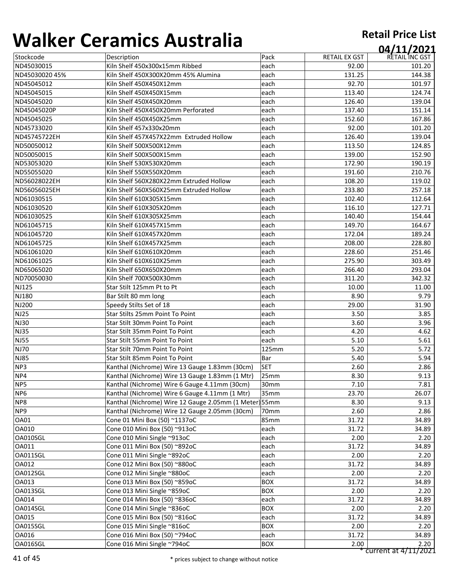| ''''''''<br>CT 31111737 19361 91 |                                                        |                  |                      | 04/11/2021     |  |
|----------------------------------|--------------------------------------------------------|------------------|----------------------|----------------|--|
| Stockcode                        | Description                                            | Pack             | <b>RETAIL EX GST</b> | RETAIL INC GST |  |
| ND45030015                       | Kiln Shelf 450x300x15mm Ribbed                         | each             | 92.00                | 101.20         |  |
| ND45030020 45%                   | Kiln Shelf 450X300X20mm 45% Alumina                    | each             | 131.25               | 144.38         |  |
| ND45045012                       | Kiln Shelf 450X450X12mm                                | each             | 92.70                | 101.97         |  |
| ND45045015                       | Kiln Shelf 450X450X15mm                                | each             | 113.40               | 124.74         |  |
| ND45045020                       | Kiln Shelf 450X450X20mm                                | each             | 126.40               | 139.04         |  |
| ND45045020P                      | Kiln Shelf 450X450X20mm Perforated                     | each             | 137.40               | 151.14         |  |
| ND45045025                       | Kiln Shelf 450X450X25mm                                | each             | 152.60               | 167.86         |  |
| ND45733020                       | Kiln Shelf 457x330x20mm                                | each             | 92.00                | 101.20         |  |
| ND45745722EH                     | Kiln Shelf 457X457X22mm Extruded Hollow                | each             | 126.40               | 139.04         |  |
| ND50050012                       | Kiln Shelf 500X500X12mm                                | each             | 113.50               | 124.85         |  |
| ND50050015                       | Kiln Shelf 500X500X15mm                                | each             | 139.00               | 152.90         |  |
| ND53053020                       | Kiln Shelf 530X530X20mm                                | each             | 172.90               | 190.19         |  |
| ND55055020                       | Kiln Shelf 550X550X20mm                                | each             | 191.60               | 210.76         |  |
| ND56028022EH                     | Kiln Shelf 560X280X22mm Extruded Hollow                | each             | 108.20               | 119.02         |  |
| ND56056025EH                     | Kiln Shelf 560X560X25mm Extruded Hollow                | each             | 233.80               | 257.18         |  |
| ND61030515                       | Kiln Shelf 610X305X15mm                                | each             | 102.40               | 112.64         |  |
| ND61030520                       | Kiln Shelf 610X305X20mm                                | each             | 116.10               | 127.71         |  |
| ND61030525                       | Kiln Shelf 610X305X25mm                                | each             | 140.40               | 154.44         |  |
| ND61045715                       | Kiln Shelf 610X457X15mm                                | each             | 149.70               | 164.67         |  |
| ND61045720                       | Kiln Shelf 610X457X20mm                                | each             | 172.04               | 189.24         |  |
| ND61045725                       | Kiln Shelf 610X457X25mm                                | each             | 208.00               | 228.80         |  |
| ND61061020                       | Kiln Shelf 610X610X20mm                                | each             | 228.60               | 251.46         |  |
| ND61061025                       | Kiln Shelf 610X610X25mm                                | each             | 275.90               | 303.49         |  |
| ND65065020                       | Kiln Shelf 650X650X20mm                                | each             | 266.40               | 293.04         |  |
| ND70050030                       | Kiln Shelf 700X500X30mm                                | each             | 311.20               | 342.32         |  |
| <b>NJ125</b>                     | Star Stilt 125mm Pt to Pt                              | each             | 10.00                | 11.00          |  |
| NJ180                            | Bar Stilt 80 mm long                                   | each             | 8.90                 | 9.79           |  |
| NJ200                            | Speedy Stilts Set of 18                                | each             | 29.00                | 31.90          |  |
| <b>NJ25</b>                      | Star Stilts 25mm Point To Point                        | each             | 3.50                 | 3.85           |  |
| <b>NJ30</b>                      | Star Stilt 30mm Point To Point                         | each             | 3.60                 | 3.96           |  |
| <b>NJ35</b>                      | Star Stilt 35mm Point To Point                         | each             | 4.20                 | 4.62           |  |
| <b>NJ55</b>                      | Star Stilt 55mm Point To Point                         | each             | 5.10                 | 5.61           |  |
| <b>NJ70</b>                      | Star Stilt 70mm Point To Point                         | 125mm            | 5.20                 | 5.72           |  |
| <b>NJ85</b>                      | <b>Star Stilt 85mm Point To Point</b>                  | <b>Bar</b>       | 5.40                 | 5.94           |  |
| NP3                              | Kanthal (Nichrome) Wire 13 Gauge 1.83mm (30cm)         | <b>SET</b>       | 2.60                 | 2.86           |  |
| NP4                              | Kanthal (Nichrome) Wire 13 Gauge 1.83mm (1 Mtr)        | 25mm             | 8.30                 | 9.13           |  |
| NP5                              | Kanthal (Nichrome) Wire 6 Gauge 4.11mm (30cm)          | 30 <sub>mm</sub> | 7.10                 | 7.81           |  |
| NP <sub>6</sub>                  | Kanthal (Nichrome) Wire 6 Gauge 4.11mm (1 Mtr)         | 35mm             | 23.70                | 26.07          |  |
| NP8                              | Kanthal (Nichrome) Wire 12 Gauge 2.05mm (1 Meter) 55mm |                  | 8.30                 | 9.13           |  |
| NP <sub>9</sub>                  | Kanthal (Nichrome) Wire 12 Gauge 2.05mm (30cm)         | 70 <sub>mm</sub> | 2.60                 | 2.86           |  |
| OA01                             | Cone 01 Mini Box (50) ~1137oC                          | 85 <sub>mm</sub> | 31.72                | 34.89          |  |
| OA010                            | Cone 010 Mini Box (50) ~913oC                          | each             | 31.72                | 34.89          |  |
| OA010SGL                         | Cone 010 Mini Single ~913oC                            | each             | 2.00                 | 2.20           |  |
| OA011                            | Cone 011 Mini Box (50) ~892oC                          | each             | 31.72                | 34.89          |  |
| OA011SGL                         | Cone 011 Mini Single ~892oC                            | each             | 2.00                 | 2.20           |  |
| OA012                            | Cone 012 Mini Box (50) ~880oC                          | each             | 31.72                | 34.89          |  |
| OA012SGL                         | Cone 012 Mini Single ~880oC                            | each             | 2.00                 | 2.20           |  |
| OA013                            | Cone 013 Mini Box (50) ~859oC                          | <b>BOX</b>       | 31.72                | 34.89          |  |
| OA013SGL                         | Cone 013 Mini Single ~859oC                            | <b>BOX</b>       | 2.00                 | 2.20           |  |
| OA014                            | Cone 014 Mini Box (50) ~836oC                          | each             | 31.72                | 34.89          |  |
| OA014SGL                         | Cone 014 Mini Single ~836oC                            | <b>BOX</b>       | 2.00                 | 2.20           |  |
| OA015                            | Cone 015 Mini Box (50) ~816oC                          | each             | 31.72                | 34.89          |  |
| OA015SGL                         | Cone 015 Mini Single ~816oC                            | <b>BOX</b>       | 2.00                 | 2.20           |  |
| OA016                            | Cone 016 Mini Box (50) ~794oC                          | each             | 31.72                | 34.89          |  |
| OA016SGL                         | Cone 016 Mini Single ~794oC                            | <b>BOX</b>       | 2.00                 | 2.20           |  |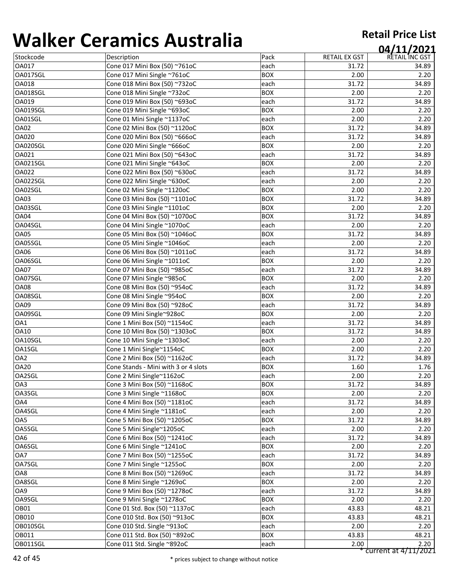|                 | 97191111997199919119                 |            |                      | 04/11/2021           |
|-----------------|--------------------------------------|------------|----------------------|----------------------|
| Stockcode       | Description                          | Pack       | <b>RETAIL EX GST</b> | RETAIL INC GST       |
| OA017           | Cone 017 Mini Box (50) ~761oC        | each       | 31.72                | 34.89                |
| OA017SGL        | Cone 017 Mini Single ~761oC          | <b>BOX</b> | 2.00                 | 2.20                 |
| OA018           | Cone 018 Mini Box (50) ~732oC        | each       | 31.72                | 34.89                |
| OA018SGL        | Cone 018 Mini Single ~732oC          | <b>BOX</b> | 2.00                 | 2.20                 |
| OA019           | Cone 019 Mini Box (50) ~693oC        | each       | 31.72                | 34.89                |
| OA019SGL        | Cone 019 Mini Single ~693oC          | <b>BOX</b> | 2.00                 | 2.20                 |
| OA01SGL         | Cone 01 Mini Single ~1137oC          | each       | 2.00                 | 2.20                 |
| <b>OA02</b>     | Cone 02 Mini Box (50) ~1120oC        | <b>BOX</b> | 31.72                | 34.89                |
| <b>OA020</b>    | Cone 020 Mini Box (50) ~666oC        | each       | 31.72                | 34.89                |
| OA020SGL        | Cone 020 Mini Single ~666oC          | <b>BOX</b> | 2.00                 | 2.20                 |
| OA021           | Cone 021 Mini Box (50) ~643oC        | each       | 31.72                | 34.89                |
| OA021SGL        | Cone 021 Mini Single ~643oC          | <b>BOX</b> | 2.00                 | 2.20                 |
| OA022           | Cone 022 Mini Box (50) ~630oC        | each       | 31.72                | 34.89                |
| OA022SGL        | Cone 022 Mini Single ~630oC          | each       | 2.00                 | 2.20                 |
| OA02SGL         | Cone 02 Mini Single ~1120oC          | <b>BOX</b> | 2.00                 | 2.20                 |
| <b>OA03</b>     | Cone 03 Mini Box (50) ~1101oC        | <b>BOX</b> | 31.72                | 34.89                |
| OA03SGL         | Cone 03 Mini Single ~1101oC          | <b>BOX</b> | 2.00                 | 2.20                 |
| <b>OA04</b>     | Cone 04 Mini Box (50) ~1070oC        | <b>BOX</b> | 31.72                | 34.89                |
| OA04SGL         | Cone 04 Mini Single ~1070oC          | each       | 2.00                 | 2.20                 |
| <b>OA05</b>     | Cone 05 Mini Box (50) ~1046oC        | <b>BOX</b> | 31.72                | 34.89                |
| OA05SGL         | Cone 05 Mini Single ~1046oC          | each       | 2.00                 | 2.20                 |
| <b>OA06</b>     | Cone 06 Mini Box (50) ~1011oC        | each       | 31.72                | 34.89                |
| OA06SGL         | Cone 06 Mini Single ~1011oC          | <b>BOX</b> | 2.00                 | 2.20                 |
| <b>OA07</b>     | Cone 07 Mini Box (50) ~985oC         | each       | 31.72                | 34.89                |
| OA07SGL         | Cone 07 Mini Single ~985oC           | <b>BOX</b> | 2.00                 | 2.20                 |
| <b>OA08</b>     | Cone 08 Mini Box (50) ~954oC         | each       | 31.72                | 34.89                |
| OA08SGL         | Cone 08 Mini Single ~954oC           | <b>BOX</b> | 2.00                 | 2.20                 |
| <b>OA09</b>     | Cone 09 Mini Box (50) ~928oC         | each       | 31.72                | 34.89                |
| OA09SGL         | Cone 09 Mini Single~928oC            | <b>BOX</b> | 2.00                 | 2.20                 |
| OA1             | Cone 1 Mini Box (50) ~1154oC         | each       | 31.72                | 34.89                |
| <b>OA10</b>     | Cone 10 Mini Box (50) ~1303oC        | <b>BOX</b> | 31.72                | 34.89                |
| OA10SGL         | Cone 10 Mini Single ~1303oC          | each       | 2.00                 | 2.20                 |
| OA1SGL          | Cone 1 Mini Single~1154oC            | <b>BOX</b> | 2.00                 | 2.20                 |
| OA <sub>2</sub> | Cone 2 Mini Box (50) ~1162oC         | each       | 31.72                | 34.89                |
| <b>OA20</b>     | Cone Stands - Mini with 3 or 4 slots | <b>BOX</b> | 1.60                 | 1.76                 |
| OA2SGL          | Cone 2 Mini Single~1162oC            | each       | 2.00                 | 2.20                 |
| OA3             | Cone 3 Mini Box (50) ~1168oC         | <b>BOX</b> | 31.72                | 34.89                |
| OA3SGL          | Cone 3 Mini Single ~1168oC           | <b>BOX</b> | 2.00                 | 2.20                 |
| OA4             | Cone 4 Mini Box (50) ~1181oC         | each       | 31.72                | 34.89                |
| OA4SGL          | Cone 4 Mini Single ~1181oC           | each       | 2.00                 | 2.20                 |
| OA5             | Cone 5 Mini Box (50) ~1205oC         | <b>BOX</b> | 31.72                | 34.89                |
| OA5SGL          | Cone 5 Mini Single~1205oC            | each       | 2.00                 | 2.20                 |
| OA6             | Cone 6 Mini Box (50) ~1241oC         | each       | 31.72                | 34.89                |
| OA6SGL          | Cone 6 Mini Single ~1241oC           | <b>BOX</b> | 2.00                 | 2.20                 |
| OA7             | Cone 7 Mini Box (50) ~1255oC         | each       | 31.72                | 34.89                |
| OA7SGL          | Cone 7 Mini Single ~1255oC           | <b>BOX</b> | 2.00                 | 2.20                 |
| OA8             | Cone 8 Mini Box (50) ~1269oC         | each       | 31.72                | 34.89                |
| OA8SGL          | Cone 8 Mini Single ~1269oC           | <b>BOX</b> | 2.00                 | 2.20                 |
| OA9             | Cone 9 Mini Box (50) ~1278oC         | each       | 31.72                | 34.89                |
| OA9SGL          | Cone 9 Mini Single ~1278oC           | <b>BOX</b> | 2.00                 | 2.20                 |
| OB01            | Cone 01 Std. Box (50) ~1137oC        | each       | 43.83                | 48.21                |
| <b>OB010</b>    | Cone 010 Std. Box (50) ~913oC        | <b>BOX</b> | 43.83                | 48.21                |
| OB010SGL        | Cone 010 Std. Single ~913oC          | each       | 2.00                 | 2.20                 |
| OB011           | Cone 011 Std. Box (50) ~892oC        | <b>BOX</b> | 43.83                | 48.21                |
| OB011SGL        | Cone 011 Std. Single ~892oC          | each       | 2.00                 | 2.20                 |
|                 |                                      |            |                      | current at 4/11/2021 |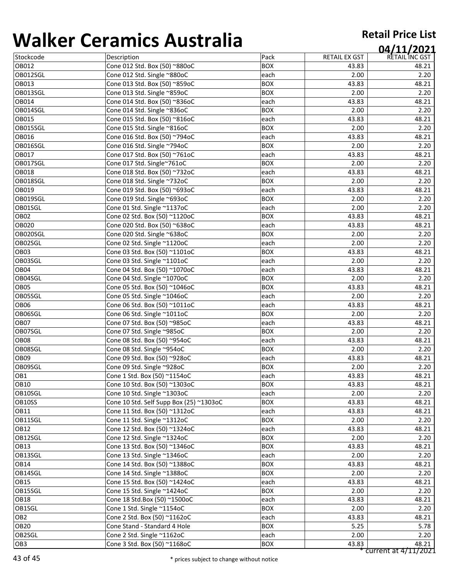|                  | 97191111997199719119                    |            |               | 04/11/2021     |
|------------------|-----------------------------------------|------------|---------------|----------------|
| Stockcode        | Description                             | Pack       | RETAIL EX GST | RETAIL INC GST |
| OB012            | Cone 012 Std. Box (50) ~880oC           | <b>BOX</b> | 43.83         | 48.21          |
| OB012SGL         | Cone 012 Std. Single ~880oC             | each       | 2.00          | 2.20           |
| OB013            | Cone 013 Std. Box (50) ~859oC           | <b>BOX</b> | 43.83         | 48.21          |
| OB013SGL         | Cone 013 Std. Single ~859oC             | <b>BOX</b> | 2.00          | 2.20           |
| OB014            | Cone 014 Std. Box (50) ~836oC           | each       | 43.83         | 48.21          |
| OB014SGL         | Cone 014 Std. Single ~836oC             | <b>BOX</b> | 2.00          | 2.20           |
| OB015            | Cone 015 Std. Box (50) ~816oC           | each       | 43.83         | 48.21          |
| OB015SGL         | Cone 015 Std. Single ~816oC             | <b>BOX</b> | 2.00          | 2.20           |
| OB016            | Cone 016 Std. Box (50) ~794oC           | each       | 43.83         | 48.21          |
| OB016SGL         | Cone 016 Std. Single ~794oC             | <b>BOX</b> | 2.00          | 2.20           |
| OB017            | Cone 017 Std. Box (50) ~761oC           | each       | 43.83         | 48.21          |
| OB017SGL         | Cone 017 Std. Single~761oC              | <b>BOX</b> | 2.00          | 2.20           |
| OB018            | Cone 018 Std. Box (50) ~732oC           | each       | 43.83         | 48.21          |
| OB018SGL         | Cone 018 Std. Single ~732oC             | <b>BOX</b> | 2.00          | 2.20           |
| OB019            | Cone 019 Std. Box (50) ~693oC           | each       | 43.83         | 48.21          |
| OB019SGL         | Cone 019 Std. Single ~693oC             | <b>BOX</b> | 2.00          | 2.20           |
| OB01SGL          | Cone 01 Std. Single ~1137oC             | each       | 2.00          | 2.20           |
| OB <sub>02</sub> | Cone 02 Std. Box (50) ~1120oC           | <b>BOX</b> | 43.83         | 48.21          |
| <b>OB020</b>     | Cone 020 Std. Box (50) ~638oC           | each       | 43.83         | 48.21          |
| OB020SGL         | Cone 020 Std. Single ~638oC             | <b>BOX</b> | 2.00          | 2.20           |
| OB02SGL          | Cone 02 Std. Single ~1120oC             | each       | 2.00          | 2.20           |
| OB <sub>03</sub> | Cone 03 Std. Box (50) ~1101oC           | <b>BOX</b> | 43.83         | 48.21          |
| OB03SGL          | Cone 03 Std. Single ~1101oC             | each       | 2.00          | 2.20           |
| OB04             | Cone 04 Std. Box (50) ~1070oC           | each       | 43.83         | 48.21          |
| OB04SGL          | Cone 04 Std. Single ~1070oC             | <b>BOX</b> | 2.00          | 2.20           |
| OB05             | Cone 05 Std. Box (50) ~1046oC           | <b>BOX</b> | 43.83         | 48.21          |
| OB05SGL          | Cone 05 Std. Single ~1046oC             | each       | 2.00          | 2.20           |
| <b>OB06</b>      | Cone 06 Std. Box (50) ~1011oC           | each       | 43.83         | 48.21          |
| OB06SGL          | Cone 06 Std. Single ~1011oC             | <b>BOX</b> | 2.00          | 2.20           |
| OB <sub>07</sub> | Cone 07 Std. Box (50) ~985oC            | each       | 43.83         | 48.21          |
| OB07SGL          | Cone 07 Std. Single ~985oC              | <b>BOX</b> | 2.00          | 2.20           |
| OB <sub>08</sub> | Cone 08 Std. Box (50) ~954oC            | each       | 43.83         | 48.21          |
| OB08SGL          | Cone 08 Std. Single ~954oC              | <b>BOX</b> | 2.00          | 2.20           |
| OB <sub>09</sub> | Cone 09 Std. Box (50) ~928oC            | each       | 43.83         | 48.21          |
| OB09SGL          | Cone 09 Std. Single ~928oC              | <b>BOX</b> | 2.00          | 2.20           |
| OB1              | Cone 1 Std. Box (50) ~1154oC            | each       | 43.83         | 48.21          |
| <b>OB10</b>      | Cone 10 Std. Box (50) ~1303oC           | <b>BOX</b> | 43.83         | 48.21          |
| OB10SGL          | Cone 10 Std. Single ~1303oC             | each       | 2.00          | 2.20           |
| OB10SS           | Cone 10 Std. Self Supp Box (25) ~1303oC | <b>BOX</b> | 43.83         | 48.21          |
| <b>OB11</b>      | Cone 11 Std. Box (50) ~1312oC           | each       | 43.83         | 48.21          |
| OB11SGL          | Cone 11 Std. Single ~1312oC             | <b>BOX</b> | 2.00          | 2.20           |
| <b>OB12</b>      | Cone 12 Std. Box (50) ~1324oC           | each       | 43.83         | 48.21          |
| OB12SGL          | Cone 12 Std. Single ~1324oC             | <b>BOX</b> | 2.00          | 2.20           |
| <b>OB13</b>      | Cone 13 Std. Box (50) ~1346oC           | <b>BOX</b> | 43.83         | 48.21          |
| OB13SGL          | Cone 13 Std. Single ~1346oC             | each       | 2.00          | 2.20           |
| <b>OB14</b>      | Cone 14 Std. Box (50) ~1388oC           | <b>BOX</b> | 43.83         | 48.21          |
| OB14SGL          | Cone 14 Std. Single ~1388oC             | <b>BOX</b> | 2.00          | 2.20           |
| <b>OB15</b>      | Cone 15 Std. Box (50) ~1424oC           | each       | 43.83         | 48.21          |
| OB15SGL          | Cone 15 Std. Single ~1424oC             | BOX        | 2.00          | 2.20           |
| <b>OB18</b>      | Cone 18 Std.Box (50) ~1500oC            | each       | 43.83         | 48.21          |
| OB1SGL           | Cone 1 Std. Single ~1154oC              | BOX        | 2.00          | 2.20           |
| OB <sub>2</sub>  | Cone 2 Std. Box (50) ~1162oC            | each       | 43.83         | 48.21          |
| OB <sub>20</sub> | Cone Stand - Standard 4 Hole            | BOX        | 5.25          | 5.78           |
| OB2SGL           | Cone 2 Std. Single ~1162oC              | each       | 2.00          | 2.20           |
| OB <sub>3</sub>  | Cone 3 Std. Box (50) ~1168oC            | <b>BOX</b> | 43.83         | 48.21          |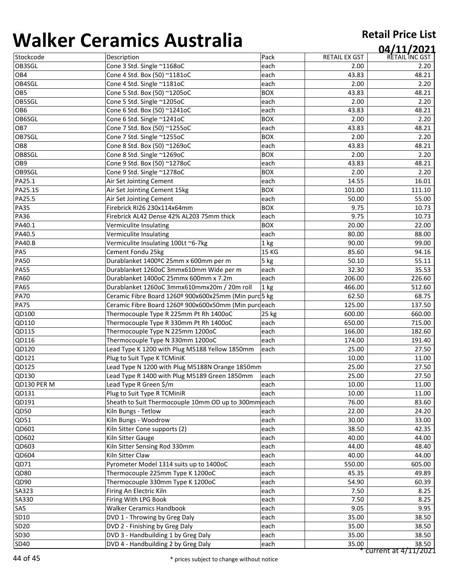| 1771 N V V      | 82. THE 1997 I SHIP IS TO                             |                 |                      | 04/11/2021     |
|-----------------|-------------------------------------------------------|-----------------|----------------------|----------------|
| Stockcode       | Description                                           | Pack            | <b>RETAIL EX GST</b> | RETAIL INC GST |
| OB3SGL          | Cone 3 Std. Single ~1168oC                            | each            | 2.00                 | 2.20           |
| OB4             | Cone 4 Std. Box (50) ~1181oC                          | each            | 43.83                | 48.21          |
| OB4SGL          | Cone 4 Std. Single ~1181oC                            | each            | 2.00                 | 2.20           |
| OB5             | Cone 5 Std. Box (50) ~1205oC                          | <b>BOX</b>      | 43.83                | 48.21          |
| OB5SGL          | Cone 5 Std. Single ~1205oC                            | each            | 2.00                 | 2.20           |
| OB <sub>6</sub> | Cone 6 Std. Box (50) ~1241oC                          | each            | 43.83                | 48.21          |
| OB6SGL          | Cone 6 Std. Single ~1241oC                            | <b>BOX</b>      | 2.00                 | 2.20           |
| OB7             | Cone 7 Std. Box (50) ~1255oC                          | each            | 43.83                | 48.21          |
| OB7SGL          | Cone 7 Std. Single ~1255oC                            | <b>BOX</b>      | 2.00                 | 2.20           |
| OB8             | Cone 8 Std. Box (50) ~1269oC                          | each            | 43.83                | 48.21          |
| OB8SGL          | Cone 8 Std. Single ~1269oC                            | <b>BOX</b>      | 2.00                 | 2.20           |
| OB9             | Cone 9 Std. Box (50) ~1278oC                          | each            | 43.83                | 48.21          |
| OB9SGL          | Cone 9 Std. Single ~1278oC                            | <b>BOX</b>      | 2.00                 | 2.20           |
| PA25.1          | Air Set Jointing Cement                               | each            | 14.55                | 16.01          |
| PA25.15         | Air Set Jointing Cement 15kg                          | <b>BOX</b>      | 101.00               | 111.10         |
| PA25.5          | Air Set Jointing Cement                               | each            | 50.00                | 55.00          |
| <b>PA35</b>     | Firebrick RI26 230x114x64mm                           | <b>BOX</b>      | 9.75                 | 10.73          |
| <b>PA36</b>     | Firebrick AL42 Dense 42% AL203 75mm thick             | each            | 9.75                 | 10.73          |
| PA40.1          | Vermiculite Insulating                                | <b>BOX</b>      | 20.00                | 22.00          |
| PA40.5          | Vermiculite Insulating                                | each            | 80.00                | 88.00          |
| <b>PA40.B</b>   | Vermiculite Insulating 100Lt ~6-7kg                   | 1 <sub>kg</sub> | 90.00                | 99.00          |
| PA5             | Cement Fondu 25kg                                     | <b>15 KG</b>    | 85.60                | 94.16          |
| <b>PA50</b>     | Durablanket 1400°C 25mm x 600mm per m                 | 5 kg            | 50.10                | 55.11          |
| <b>PA55</b>     | Durablanket 1260oC 3mmx610mm Wide per m               | each            | 32.30                | 35.53          |
| <b>PA60</b>     | Durablanket 1400oC 25mmx 600mm x 7.2m                 | each            | 206.00               | 226.60         |
| <b>PA65</b>     | Durablanket 1260oC 3mmx610mmx20m / 20m roll           | $ 1$ kg         | 466.00               | 512.60         |
| <b>PA70</b>     | Ceramic Fibre Board 1260º 900x600x25mm (Min purd 5 kg |                 | 62.50                | 68.75          |
| <b>PA75</b>     | Ceramic Fibre Board 1260º 900x600x50mm (Min purdeach  |                 | 125.00               | 137.50         |
| QD100           | Thermocouple Type R 225mm Pt Rh 1400oC                | $25$ kg         | 600.00               | 660.00         |
| QD110           | Thermocouple Type R 330mm Pt Rh 1400oC                | each            | 650.00               | 715.00         |
| QD115           | Thermocouple Type N 225mm 1200oC                      | each            | 166.00               | 182.60         |
| QD116           | Thermocouple Type N 330mm 1200oC                      | each            | 174.00               | 191.40         |
| QD120           | Lead Type K 1200 with Plug M5188 Yellow 1850mm        | each            | 25.00                | 27.50          |
| QD121           | Plug to Suit Type K TCMiniK                           |                 | 10.00                | 11.00          |
| QD125           | Lead Type N 1200 with Plug M5188N Orange 1850mm       |                 | 25.00                | 27.50          |
| QD130           | Lead Type R 1400 with Plug M5189 Green 1850mm         | each            | 25.00                | 27.50          |
| QD130 PER M     | Lead Type R Green \$/m                                | each            | 10.00                | 11.00          |
| QD131           | Plug to Suit Type R TCMiniR                           | each            | 10.00                | 11.00          |
| QD191           | Sheath to Suit Thermocouple 10mm OD up to 300mm each  |                 | 76.00                | 83.60          |
| QD50            | Kiln Bungs - Tetlow                                   | each            | 22.00                | 24.20          |
| QD51            | Kiln Bungs - Woodrow                                  | each            | 30.00                | 33.00          |
| QD601           | Kiln Sitter Cone supports (2)                         | each            | 38.50                | 42.35          |
| QD602           | Kiln Sitter Gauge                                     | each            | 40.00                | 44.00          |
| QD603           | Kiln Sitter Sensing Rod 330mm                         | each            | 44.00                | 48.40          |
| QD604           | Kiln Sitter Claw                                      | each            | 40.00                | 44.00          |
| QD71            | Pyrometer Model 1314 suits up to 1400oC               | each            | 550.00               | 605.00         |
| QD80            | Thermocouple 225mm Type K 1200oC                      | each            | 45.35                | 49.89          |
| QD90            | Thermocouple 330mm Type K 1200oC                      | each            | 54.90                | 60.39          |
| SA323           | Firing An Electric Kiln                               | each            | 7.50                 | 8.25           |
| SA330           | Firing With LPG Book                                  | each            | 7.50                 | 8.25           |
| SA <sub>5</sub> | <b>Walker Ceramics Handbook</b>                       | each            | 9.05                 | 9.95           |
| SD10            | DVD 1 - Throwing by Greg Daly                         | each            | 35.00                | 38.50          |
| <b>SD20</b>     | DVD 2 - Finishing by Greg Daly                        | each            | 35.00                | 38.50          |
| SD30            | DVD 3 - Handbuilding 1 by Greg Daly                   | each            | 35.00                | 38.50          |
| <b>SD40</b>     | DVD 4 - Handbuilding 2 by Greg Daly                   | each            | 35.00                | 38.50          |